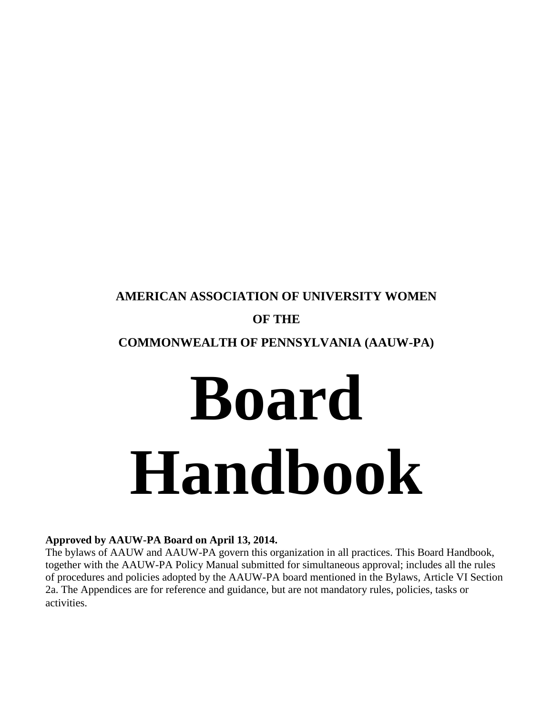# **AMERICAN ASSOCIATION OF UNIVERSITY WOMEN OF THE**

# **COMMONWEALTH OF PENNSYLVANIA (AAUW-PA)**

# **Board Handbook**

# **Approved by AAUW-PA Board on April 13, 2014.**

The bylaws of AAUW and AAUW-PA govern this organization in all practices. This Board Handbook, together with the AAUW-PA Policy Manual submitted for simultaneous approval; includes all the rules of procedures and policies adopted by the AAUW-PA board mentioned in the Bylaws, Article VI Section 2a. The Appendices are for reference and guidance, but are not mandatory rules, policies, tasks or activities.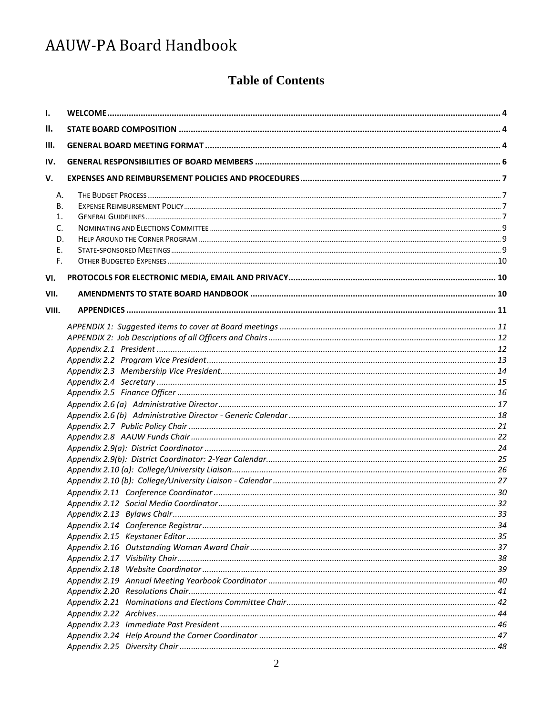# **Table of Contents**

| Ι.    |  |  |  |  |  |
|-------|--|--|--|--|--|
| Ш.    |  |  |  |  |  |
| Ш.    |  |  |  |  |  |
| IV.   |  |  |  |  |  |
| V.    |  |  |  |  |  |
| А.    |  |  |  |  |  |
| В.    |  |  |  |  |  |
| 1.    |  |  |  |  |  |
| C.    |  |  |  |  |  |
| D.    |  |  |  |  |  |
| Ε.    |  |  |  |  |  |
| F.    |  |  |  |  |  |
| VI.   |  |  |  |  |  |
| VII.  |  |  |  |  |  |
| VIII. |  |  |  |  |  |
|       |  |  |  |  |  |
|       |  |  |  |  |  |
|       |  |  |  |  |  |
|       |  |  |  |  |  |
|       |  |  |  |  |  |
|       |  |  |  |  |  |
|       |  |  |  |  |  |
|       |  |  |  |  |  |
|       |  |  |  |  |  |
|       |  |  |  |  |  |
|       |  |  |  |  |  |
|       |  |  |  |  |  |
|       |  |  |  |  |  |
|       |  |  |  |  |  |
|       |  |  |  |  |  |
|       |  |  |  |  |  |
|       |  |  |  |  |  |
|       |  |  |  |  |  |
|       |  |  |  |  |  |
|       |  |  |  |  |  |
|       |  |  |  |  |  |
|       |  |  |  |  |  |
|       |  |  |  |  |  |
|       |  |  |  |  |  |
|       |  |  |  |  |  |
|       |  |  |  |  |  |
|       |  |  |  |  |  |
|       |  |  |  |  |  |
|       |  |  |  |  |  |
|       |  |  |  |  |  |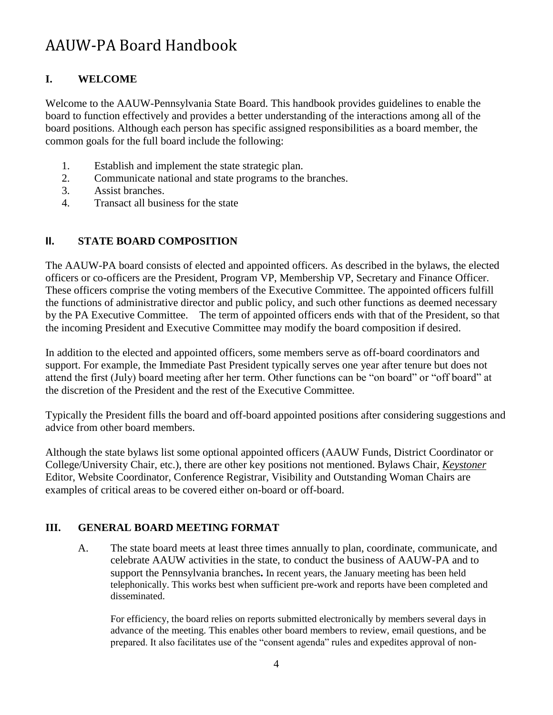# <span id="page-3-0"></span>**I. WELCOME**

Welcome to the AAUW-Pennsylvania State Board. This handbook provides guidelines to enable the board to function effectively and provides a better understanding of the interactions among all of the board positions. Although each person has specific assigned responsibilities as a board member, the common goals for the full board include the following:

- 1. Establish and implement the state strategic plan.
- $2<sub>1</sub>$ Communicate national and state programs to the branches.
- 3. Assist branches.
- 4. Transact all business for the state

# <span id="page-3-1"></span>**II. STATE BOARD COMPOSITION**

The AAUW-PA board consists of elected and appointed officers. As described in the bylaws, the elected officers or co-officers are the President, Program VP, Membership VP, Secretary and Finance Officer. These officers comprise the voting members of the Executive Committee. The appointed officers fulfill the functions of administrative director and public policy, and such other functions as deemed necessary by the PA Executive Committee. The term of appointed officers ends with that of the President, so that the incoming President and Executive Committee may modify the board composition if desired.

In addition to the elected and appointed officers, some members serve as off-board coordinators and support. For example, the Immediate Past President typically serves one year after tenure but does not attend the first (July) board meeting after her term. Other functions can be "on board" or "off board" at the discretion of the President and the rest of the Executive Committee.

Typically the President fills the board and off-board appointed positions after considering suggestions and advice from other board members.

Although the state bylaws list some optional appointed officers (AAUW Funds, District Coordinator or College/University Chair, etc.), there are other key positions not mentioned. Bylaws Chair, *Keystoner* Editor, Website Coordinator, Conference Registrar, Visibility and Outstanding Woman Chairs are examples of critical areas to be covered either on-board or off-board.

# <span id="page-3-2"></span>**III. GENERAL BOARD MEETING FORMAT**

A. The state board meets at least three times annually to plan, coordinate, communicate, and celebrate AAUW activities in the state, to conduct the business of AAUW-PA and to support the Pennsylvania branches**.** In recent years, the January meeting has been held telephonically. This works best when sufficient pre-work and reports have been completed and disseminated.

For efficiency, the board relies on reports submitted electronically by members several days in advance of the meeting. This enables other board members to review, email questions, and be prepared. It also facilitates use of the "consent agenda" rules and expedites approval of non-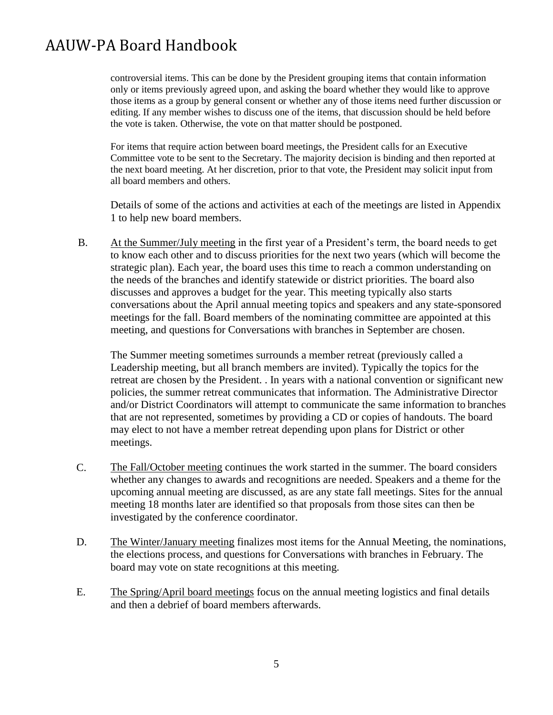controversial items. This can be done by the President grouping items that contain information only or items previously agreed upon, and asking the board whether they would like to approve those items as a group by general consent or whether any of those items need further discussion or editing. If any member wishes to discuss one of the items, that discussion should be held before the vote is taken. Otherwise, the vote on that matter should be postponed.

For items that require action between board meetings, the President calls for an Executive Committee vote to be sent to the Secretary. The majority decision is binding and then reported at the next board meeting. At her discretion, prior to that vote, the President may solicit input from all board members and others.

Details of some of the actions and activities at each of the meetings are listed in Appendix 1 to help new board members.

B. At the Summer/July meeting in the first year of a President's term, the board needs to get to know each other and to discuss priorities for the next two years (which will become the strategic plan). Each year, the board uses this time to reach a common understanding on the needs of the branches and identify statewide or district priorities. The board also discusses and approves a budget for the year. This meeting typically also starts conversations about the April annual meeting topics and speakers and any state-sponsored meetings for the fall. Board members of the nominating committee are appointed at this meeting, and questions for Conversations with branches in September are chosen.

The Summer meeting sometimes surrounds a member retreat (previously called a Leadership meeting, but all branch members are invited). Typically the topics for the retreat are chosen by the President. . In years with a national convention or significant new policies, the summer retreat communicates that information. The Administrative Director and/or District Coordinators will attempt to communicate the same information to branches that are not represented, sometimes by providing a CD or copies of handouts. The board may elect to not have a member retreat depending upon plans for District or other meetings.

- C. The Fall/October meeting continues the work started in the summer. The board considers whether any changes to awards and recognitions are needed. Speakers and a theme for the upcoming annual meeting are discussed, as are any state fall meetings. Sites for the annual meeting 18 months later are identified so that proposals from those sites can then be investigated by the conference coordinator.
- D. The Winter/January meeting finalizes most items for the Annual Meeting, the nominations, the elections process, and questions for Conversations with branches in February. The board may vote on state recognitions at this meeting.
- E. The Spring/April board meetings focus on the annual meeting logistics and final details and then a debrief of board members afterwards.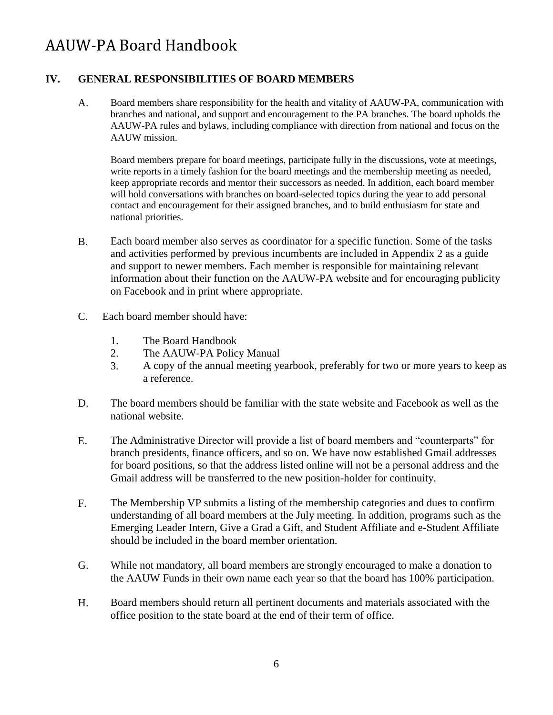# <span id="page-5-0"></span>**IV. GENERAL RESPONSIBILITIES OF BOARD MEMBERS**

A. Board members share responsibility for the health and vitality of AAUW-PA, communication with branches and national, and support and encouragement to the PA branches. The board upholds the AAUW-PA rules and bylaws, including compliance with direction from national and focus on the AAUW mission.

Board members prepare for board meetings, participate fully in the discussions, vote at meetings, write reports in a timely fashion for the board meetings and the membership meeting as needed, keep appropriate records and mentor their successors as needed. In addition, each board member will hold conversations with branches on board-selected topics during the year to add personal contact and encouragement for their assigned branches, and to build enthusiasm for state and national priorities.

- B. Each board member also serves as coordinator for a specific function. Some of the tasks and activities performed by previous incumbents are included in Appendix 2 as a guide and support to newer members. Each member is responsible for maintaining relevant information about their function on the AAUW-PA website and for encouraging publicity on Facebook and in print where appropriate.
- C. Each board member should have:
	- 1. The Board Handbook
	- 2. The AAUW-PA Policy Manual
	- 3. A copy of the annual meeting yearbook, preferably for two or more years to keep as a reference.
- D. The board members should be familiar with the state website and Facebook as well as the national website.
- E. The Administrative Director will provide a list of board members and "counterparts" for branch presidents, finance officers, and so on. We have now established Gmail addresses for board positions, so that the address listed online will not be a personal address and the Gmail address will be transferred to the new position-holder for continuity.
- F. The Membership VP submits a listing of the membership categories and dues to confirm understanding of all board members at the July meeting. In addition, programs such as the Emerging Leader Intern, Give a Grad a Gift, and Student Affiliate and e-Student Affiliate should be included in the board member orientation.
- G. While not mandatory, all board members are strongly encouraged to make a donation to the AAUW Funds in their own name each year so that the board has 100% participation.
- H. Board members should return all pertinent documents and materials associated with the office position to the state board at the end of their term of office.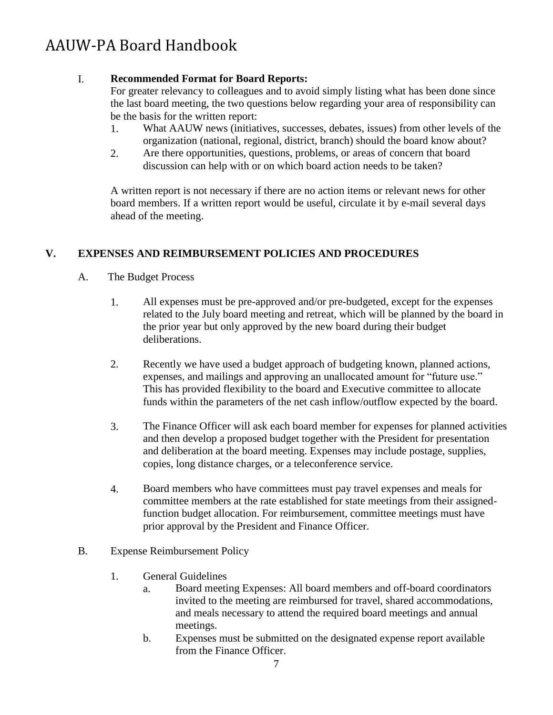# I. **Recommended Format for Board Reports:**

For greater relevancy to colleagues and to avoid simply listing what has been done since the last board meeting, the two questions below regarding your area of responsibility can be the basis for the written report:

- 1. What AAUW news (initiatives, successes, debates, issues) from other levels of the organization (national, regional, district, branch) should the board know about?
- Are there opportunities, questions, problems, or areas of concern that board discussion can help with or on which board action needs to be taken? 2.

A written report is not necessary if there are no action items or relevant news for other board members. If a written report would be useful, circulate it by e-mail several days ahead of the meeting.

# <span id="page-6-0"></span>**V. EXPENSES AND REIMBURSEMENT POLICIES AND PROCEDURES**

- <span id="page-6-1"></span>A. The Budget Process
	- 1. All expenses must be pre-approved and/or pre-budgeted, except for the expenses related to the July board meeting and retreat, which will be planned by the board in the prior year but only approved by the new board during their budget deliberations.
	- 2. Recently we have used a budget approach of budgeting known, planned actions, expenses, and mailings and approving an unallocated amount for "future use." This has provided flexibility to the board and Executive committee to allocate funds within the parameters of the net cash inflow/outflow expected by the board.
	- 3. The Finance Officer will ask each board member for expenses for planned activities and then develop a proposed budget together with the President for presentation and deliberation at the board meeting. Expenses may include postage, supplies, copies, long distance charges, or a teleconference service.
	- 4. Board members who have committees must pay travel expenses and meals for committee members at the rate established for state meetings from their assignedfunction budget allocation. For reimbursement, committee meetings must have prior approval by the President and Finance Officer.
- <span id="page-6-3"></span><span id="page-6-2"></span>B. Expense Reimbursement Policy
	- 1. General Guidelines
		- a. Board meeting Expenses: All board members and off-board coordinators invited to the meeting are reimbursed for travel, shared accommodations, and meals necessary to attend the required board meetings and annual meetings.
		- Expenses must be submitted on the designated expense report available from the Finance Officer. b.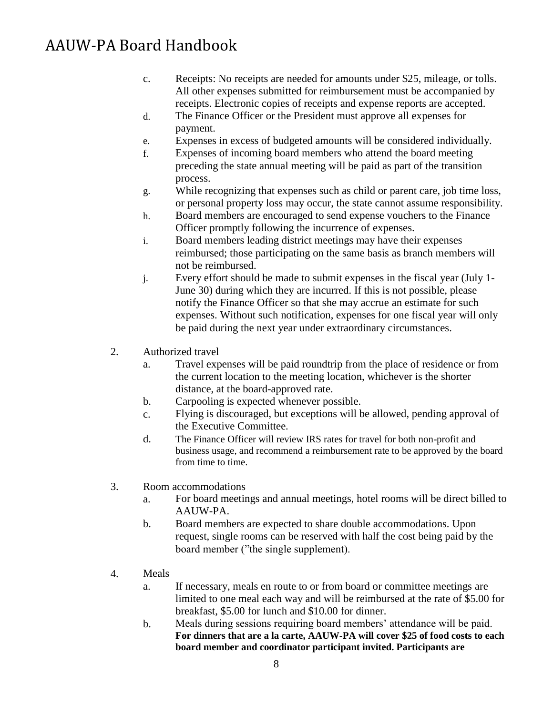- c. Receipts: No receipts are needed for amounts under \$25, mileage, or tolls. All other expenses submitted for reimbursement must be accompanied by receipts. Electronic copies of receipts and expense reports are accepted.
- The Finance Officer or the President must approve all expenses for payment. d.
- Expenses in excess of budgeted amounts will be considered individually. e.
- Expenses of incoming board members who attend the board meeting preceding the state annual meeting will be paid as part of the transition process. f.
- While recognizing that expenses such as child or parent care, job time loss, or personal property loss may occur, the state cannot assume responsibility. g.
- Board members are encouraged to send expense vouchers to the Finance Officer promptly following the incurrence of expenses. h.
- Board members leading district meetings may have their expenses reimbursed; those participating on the same basis as branch members will not be reimbursed. i.
- Every effort should be made to submit expenses in the fiscal year (July 1- June 30) during which they are incurred. If this is not possible, please notify the Finance Officer so that she may accrue an estimate for such expenses. Without such notification, expenses for one fiscal year will only be paid during the next year under extraordinary circumstances. j.
- 2. Authorized travel
	- a. Travel expenses will be paid roundtrip from the place of residence or from the current location to the meeting location, whichever is the shorter distance, at the board-approved rate.
	- Carpooling is expected whenever possible. b.
	- Flying is discouraged, but exceptions will be allowed, pending approval of the Executive Committee. c.
	- The Finance Officer will review IRS rates for travel for both non-profit and business usage, and recommend a reimbursement rate to be approved by the board from time to time. d.
- 3. Room accommodations
	- a. For board meetings and annual meetings, hotel rooms will be direct billed to AAUW-PA.
	- Board members are expected to share double accommodations. Upon request, single rooms can be reserved with half the cost being paid by the board member ("the single supplement). b.
- 4. Meals
	- a. If necessary, meals en route to or from board or committee meetings are limited to one meal each way and will be reimbursed at the rate of \$5.00 for breakfast, \$5.00 for lunch and \$10.00 for dinner.
	- Meals during sessions requiring board members' attendance will be paid. **For dinners that are a la carte, AAUW-PA will cover \$25 of food costs to each board member and coordinator participant invited. Participants are** b.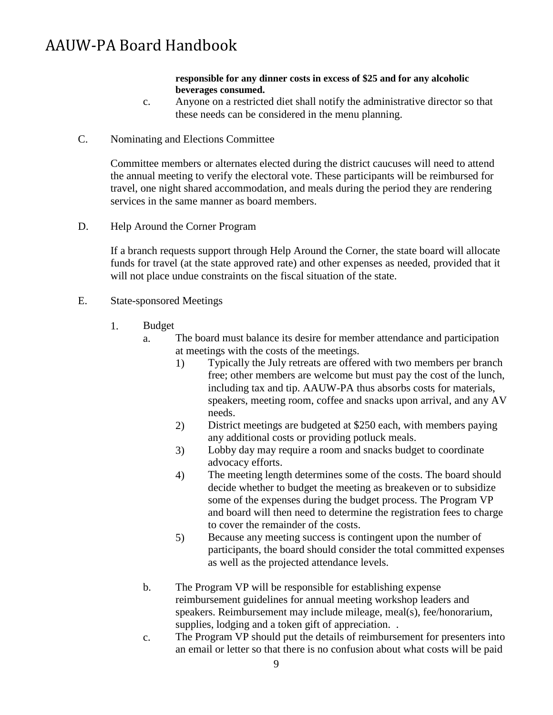#### **responsible for any dinner costs in excess of \$25 and for any alcoholic beverages consumed.**

- Anyone on a restricted diet shall notify the administrative director so that these needs can be considered in the menu planning. c.
- C. Nominating and Elections Committee

<span id="page-8-0"></span>Committee members or alternates elected during the district caucuses will need to attend the annual meeting to verify the electoral vote. These participants will be reimbursed for travel, one night shared accommodation, and meals during the period they are rendering services in the same manner as board members.

D. Help Around the Corner Program

<span id="page-8-1"></span>If a branch requests support through Help Around the Corner, the state board will allocate funds for travel (at the state approved rate) and other expenses as needed, provided that it will not place undue constraints on the fiscal situation of the state.

- <span id="page-8-2"></span>E. State-sponsored Meetings
	- 1. Budget
		- a. The board must balance its desire for member attendance and participation at meetings with the costs of the meetings.
			- 1) Typically the July retreats are offered with two members per branch free; other members are welcome but must pay the cost of the lunch, including tax and tip. AAUW-PA thus absorbs costs for materials, speakers, meeting room, coffee and snacks upon arrival, and any AV needs.
			- District meetings are budgeted at \$250 each, with members paying any additional costs or providing potluck meals. 2)
			- Lobby day may require a room and snacks budget to coordinate advocacy efforts. 3)
			- The meeting length determines some of the costs. The board should decide whether to budget the meeting as breakeven or to subsidize some of the expenses during the budget process. The Program VP and board will then need to determine the registration fees to charge to cover the remainder of the costs. 4)
			- Because any meeting success is contingent upon the number of participants, the board should consider the total committed expenses as well as the projected attendance levels. 5)
		- b. The Program VP will be responsible for establishing expense reimbursement guidelines for annual meeting workshop leaders and speakers. Reimbursement may include mileage, meal(s), fee/honorarium, supplies, lodging and a token gift of appreciation. .
		- The Program VP should put the details of reimbursement for presenters into an email or letter so that there is no confusion about what costs will be paid c.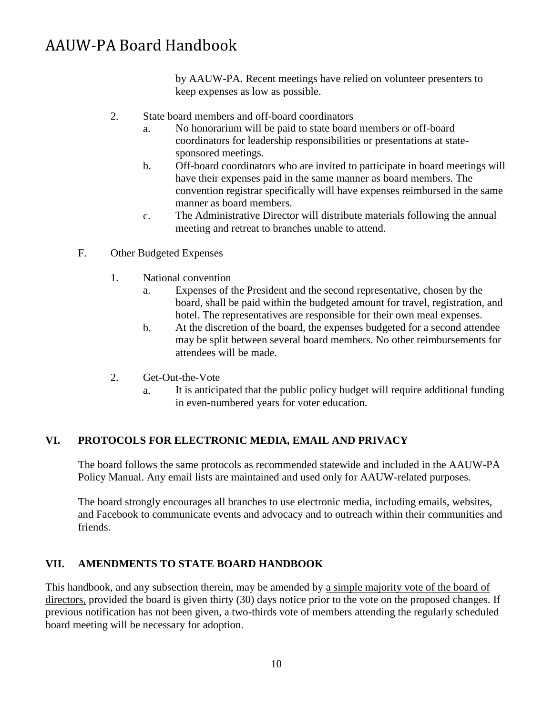by AAUW-PA. Recent meetings have relied on volunteer presenters to keep expenses as low as possible.

- 2. State board members and off-board coordinators
	- a. No honorarium will be paid to state board members or off-board coordinators for leadership responsibilities or presentations at statesponsored meetings.
	- Off-board coordinators who are invited to participate in board meetings will have their expenses paid in the same manner as board members. The convention registrar specifically will have expenses reimbursed in the same manner as board members. b.
	- The Administrative Director will distribute materials following the annual meeting and retreat to branches unable to attend. c.
- <span id="page-9-0"></span>F. Other Budgeted Expenses
	- 1. National convention
		- a. Expenses of the President and the second representative, chosen by the board, shall be paid within the budgeted amount for travel, registration, and hotel. The representatives are responsible for their own meal expenses.
		- At the discretion of the board, the expenses budgeted for a second attendee may be split between several board members. No other reimbursements for attendees will be made. b.
	- 2. Get-Out-the-Vote
		- a. It is anticipated that the public policy budget will require additional funding in even-numbered years for voter education.

#### <span id="page-9-1"></span>**VI. PROTOCOLS FOR ELECTRONIC MEDIA, EMAIL AND PRIVACY**

The board follows the same protocols as recommended statewide and included in the AAUW-PA Policy Manual. Any email lists are maintained and used only for AAUW-related purposes.

The board strongly encourages all branches to use electronic media, including emails, websites, and Facebook to communicate events and advocacy and to outreach within their communities and friends.

# <span id="page-9-2"></span>**VII. AMENDMENTS TO STATE BOARD HANDBOOK**

This handbook, and any subsection therein, may be amended by a simple majority vote of the board of directors, provided the board is given thirty (30) days notice prior to the vote on the proposed changes. If previous notification has not been given, a two-thirds vote of members attending the regularly scheduled board meeting will be necessary for adoption.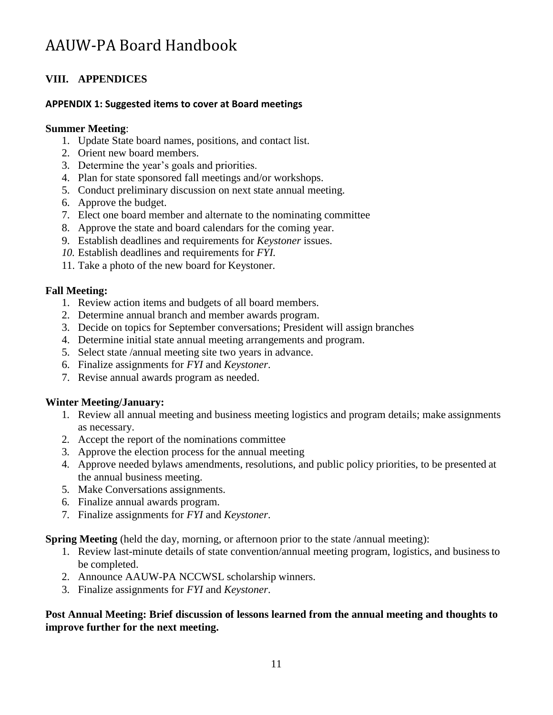# <span id="page-10-0"></span>**VIII. APPENDICES**

# <span id="page-10-1"></span>**APPENDIX 1: Suggested items to cover at Board meetings**

## **Summer Meeting**:

- 1. Update State board names, positions, and contact list.
- 2. Orient new board members.
- 3. Determine the year's goals and priorities.
- 4. Plan for state sponsored fall meetings and/or workshops.
- 5. Conduct preliminary discussion on next state annual meeting.
- 6. Approve the budget.
- 7. Elect one board member and alternate to the nominating committee
- 8. Approve the state and board calendars for the coming year.
- 9. Establish deadlines and requirements for *Keystoner* issues.
- *10.* Establish deadlines and requirements for *FYI.*
- 11. Take a photo of the new board for Keystoner.

# **Fall Meeting:**

- 1. Review action items and budgets of all board members.
- 2. Determine annual branch and member awards program.
- 3. Decide on topics for September conversations; President will assign branches
- 4. Determine initial state annual meeting arrangements and program.
- 5. Select state /annual meeting site two years in advance.
- 6. Finalize assignments for *FYI* and *Keystoner*.
- 7. Revise annual awards program as needed.

# **Winter Meeting/January:**

- 1. Review all annual meeting and business meeting logistics and program details; make assignments as necessary.
- 2. Accept the report of the nominations committee
- 3. Approve the election process for the annual meeting
- 4. Approve needed bylaws amendments, resolutions, and public policy priorities, to be presented at the annual business meeting.
- 5. Make Conversations assignments.
- 6. Finalize annual awards program.
- 7. Finalize assignments for *FYI* and *Keystoner*.

#### **Spring Meeting** (held the day, morning, or afternoon prior to the state /annual meeting):

- 1. Review last-minute details of state convention/annual meeting program, logistics, and businessto be completed.
- 2. Announce AAUW-PA NCCWSL scholarship winners.
- 3. Finalize assignments for *FYI* and *Keystoner*.

# **Post Annual Meeting: Brief discussion of lessons learned from the annual meeting and thoughts to improve further for the next meeting.**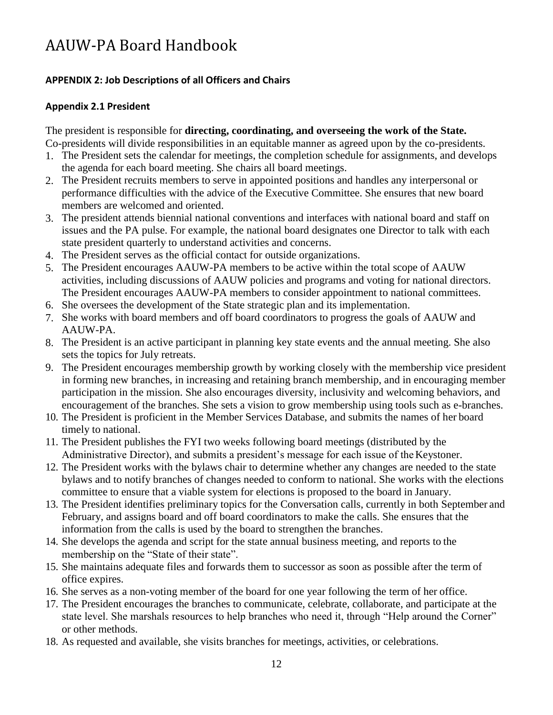# <span id="page-11-0"></span>**APPENDIX 2: Job Descriptions of all Officers and Chairs**

## <span id="page-11-1"></span>**Appendix 2.1 President**

The president is responsible for **directing, coordinating, and overseeing the work of the State.** Co-presidents will divide responsibilities in an equitable manner as agreed upon by the co-presidents.

- 1. The President sets the calendar for meetings, the completion schedule for assignments, and develops the agenda for each board meeting. She chairs all board meetings.
- The President recruits members to serve in appointed positions and handles any interpersonal or 2. performance difficulties with the advice of the Executive Committee. She ensures that new board members are welcomed and oriented.
- The president attends biennial national conventions and interfaces with national board and staff on 3. issues and the PA pulse. For example, the national board designates one Director to talk with each state president quarterly to understand activities and concerns.
- The President serves as the official contact for outside organizations. 4.
- 5. The President encourages AAUW-PA members to be active within the total scope of AAUW activities, including discussions of AAUW policies and programs and voting for national directors. The President encourages AAUW-PA members to consider appointment to national committees.
- 6. She oversees the development of the State strategic plan and its implementation.
- 7. She works with board members and off board coordinators to progress the goals of AAUW and AAUW-PA.
- The President is an active participant in planning key state events and the annual meeting. She also 8. sets the topics for July retreats.
- The President encourages membership growth by working closely with the membership vice president 9. in forming new branches, in increasing and retaining branch membership, and in encouraging member participation in the mission. She also encourages diversity, inclusivity and welcoming behaviors, and encouragement of the branches. She sets a vision to grow membership using tools such as e-branches.
- 10. The President is proficient in the Member Services Database, and submits the names of her board timely to national.
- 11. The President publishes the FYI two weeks following board meetings (distributed by the Administrative Director), and submits a president's message for each issue of the Keystoner.
- 12. The President works with the bylaws chair to determine whether any changes are needed to the state bylaws and to notify branches of changes needed to conform to national. She works with the elections committee to ensure that a viable system for elections is proposed to the board in January.
- 13. The President identifies preliminary topics for the Conversation calls, currently in both September and February, and assigns board and off board coordinators to make the calls. She ensures that the information from the calls is used by the board to strengthen the branches.
- 14. She develops the agenda and script for the state annual business meeting, and reports to the membership on the "State of their state".
- 15. She maintains adequate files and forwards them to successor as soon as possible after the term of office expires.
- 16. She serves as a non-voting member of the board for one year following the term of her office.
- 17. The President encourages the branches to communicate, celebrate, collaborate, and participate at the state level. She marshals resources to help branches who need it, through "Help around the Corner" or other methods.
- 18. As requested and available, she visits branches for meetings, activities, or celebrations.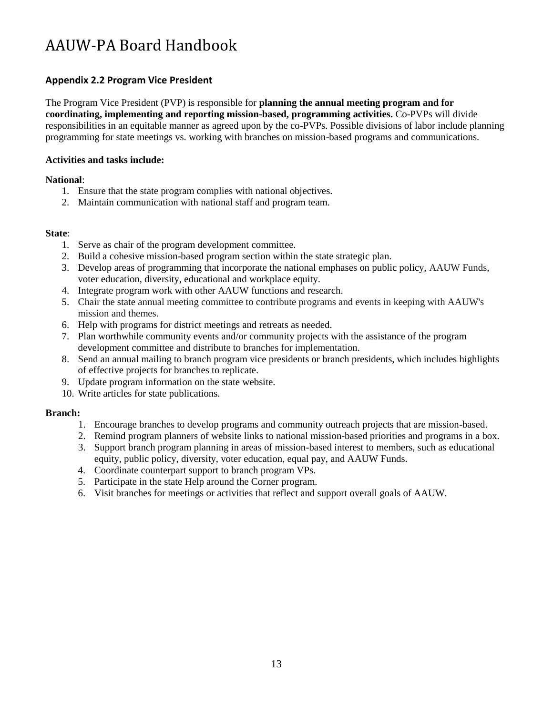## <span id="page-12-0"></span>**Appendix 2.2 Program Vice President**

The Program Vice President (PVP) is responsible for **planning the annual meeting program and for coordinating, implementing and reporting mission-based, programming activities.** Co-PVPs will divide responsibilities in an equitable manner as agreed upon by the co-PVPs. Possible divisions of labor include planning programming for state meetings vs. working with branches on mission-based programs and communications.

#### **Activities and tasks include:**

#### **National**:

- 1. Ensure that the state program complies with national objectives.
- 2. Maintain communication with national staff and program team.

#### **State**:

- 1. Serve as chair of the program development committee.
- 2. Build a cohesive mission-based program section within the state strategic plan.
- 3. Develop areas of programming that incorporate the national emphases on public policy, AAUW Funds, voter education, diversity, educational and workplace equity.
- 4. Integrate program work with other AAUW functions and research.
- Chair the state annual meeting committee to contribute programs and events in keeping with AAUW's 5. mission and themes.
- 6. Help with programs for district meetings and retreats as needed.
- Plan worthwhile community events and/or community projects with the assistance of the program 7. development committee and distribute to branches for implementation.
- Send an annual mailing to branch program vice presidents or branch presidents, which includes highlights 8. of effective projects for branches to replicate.
- Update program information on the state website. 9.
- 10. Write articles for state publications.

#### **Branch:**

- 1. Encourage branches to develop programs and community outreach projects that are mission-based.
- 2. Remind program planners of website links to national mission-based priorities and programs in a box.
- 3. Support branch program planning in areas of mission-based interest to members, such as educational equity, public policy, diversity, voter education, equal pay, and AAUW Funds.
- Coordinate counterpart support to branch program VPs. 4.
- 5. Participate in the state Help around the Corner program.
- 6. Visit branches for meetings or activities that reflect and support overall goals of AAUW.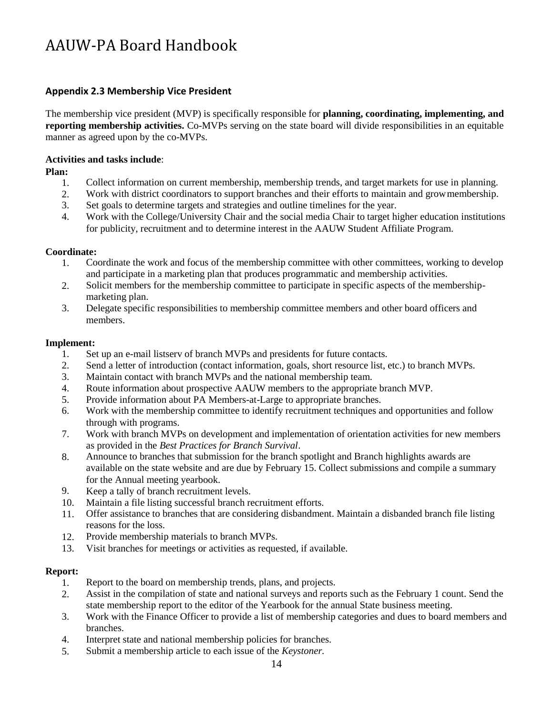## <span id="page-13-0"></span>**Appendix 2.3 Membership Vice President**

The membership vice president (MVP) is specifically responsible for **planning, coordinating, implementing, and reporting membership activities.** Co-MVPs serving on the state board will divide responsibilities in an equitable manner as agreed upon by the co-MVPs.

#### **Activities and tasks include**:

**Plan:**

- 1. Collect information on current membership, membership trends, and target markets for use in planning.
- 2. Work with district coordinators to support branches and their efforts to maintain and growmembership.
- 3. Set goals to determine targets and strategies and outline timelines for the year.
- 4. Work with the College/University Chair and the social media Chair to target higher education institutions for publicity, recruitment and to determine interest in the AAUW Student Affiliate Program.

#### **Coordinate:**

- 1. Coordinate the work and focus of the membership committee with other committees, working to develop and participate in a marketing plan that produces programmatic and membership activities.
- Solicit members for the membership committee to participate in specific aspects of the membershipmarketing plan. 2.
- Delegate specific responsibilities to membership committee members and other board officers and members. 3.

#### **Implement:**

- 1. Set up an e-mail listserv of branch MVPs and presidents for future contacts.
- 2. Send a letter of introduction (contact information, goals, short resource list, etc.) to branch MVPs.
- 3. Maintain contact with branch MVPs and the national membership team.
- 4. Route information about prospective AAUW members to the appropriate branch MVP.
- 5. Provide information about PA Members-at-Large to appropriate branches.
- 6. Work with the membership committee to identify recruitment techniques and opportunities and follow through with programs.
- Work with branch MVPs on development and implementation of orientation activities for new members as provided in the *Best Practices for Branch Survival*. 7.
- Announce to branches that submission for the branch spotlight and Branch highlights awards are available on the state website and are due by February 15. Collect submissions and compile a summary for the Annual meeting yearbook. 8.
- Keep a tally of branch recruitment levels. 9.
- Maintain a file listing successful branch recruitment efforts. 10.
- Offer assistance to branches that are considering disbandment. Maintain a disbanded branch file listing reasons for the loss. 11.
- Provide membership materials to branch MVPs. 12.
- Visit branches for meetings or activities as requested, if available. 13.

#### **Report:**

- 1. Report to the board on membership trends, plans, and projects.
- $2<sup>2</sup>$ Assist in the compilation of state and national surveys and reports such as the February 1 count. Send the state membership report to the editor of the Yearbook for the annual State business meeting.
- Work with the Finance Officer to provide a list of membership categories and dues to board members and branches. 3.
- Interpret state and national membership policies for branches. 4.
- Submit a membership article to each issue of the *Keystoner.* 5.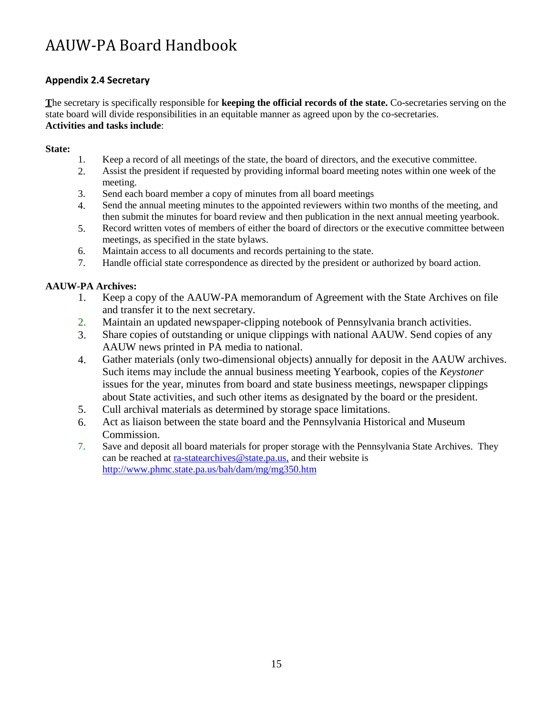# <span id="page-14-0"></span>**Appendix 2.4 Secretary**

**T**he secretary is specifically responsible for **keeping the official records of the state.** Co-secretaries serving on the state board will divide responsibilities in an equitable manner as agreed upon by the co-secretaries. **Activities and tasks include**:

#### **State:**

- 1. Keep a record of all meetings of the state, the board of directors, and the executive committee.
- 2. Assist the president if requested by providing informal board meeting notes within one week of the meeting.
- Send each board member a copy of minutes from all board meetings 3.
- Send the annual meeting minutes to the appointed reviewers within two months of the meeting, and then submit the minutes for board review and then publication in the next annual meeting yearbook. 4.
- Record written votes of members of either the board of directors or the executive committee between meetings, as specified in the state bylaws. 5.
- Maintain access to all documents and records pertaining to the state. 6.
- Handle official state correspondence as directed by the president or authorized by board action. 7.

## **AAUW-PA Archives:**

- 1. Keep a copy of the AAUW-PA memorandum of Agreement with the State Archives on file and transfer it to the next secretary.
- Maintain an updated newspaper-clipping notebook of Pennsylvania branch activities. 2.
- Share copies of outstanding or unique clippings with national AAUW. Send copies of any AAUW news printed in PA media to national. 3.
- Gather materials (only two-dimensional objects) annually for deposit in the AAUW archives. Such items may include the annual business meeting Yearbook, copies of the *Keystoner*  issues for the year, minutes from board and state business meetings, newspaper clippings about State activities, and such other items as designated by the board or the president. 4.
- Cull archival materials as determined by storage space limitations. 5.
- Act as liaison between the state board and the Pennsylvania Historical and Museum Commission. 6.
- 7. Save and deposit all board materials for proper storage with the Pennsylvania State Archives. They can be reached at [ra-statearchives@state.pa.us,](mailto:ra-statearchives@state.pa.us) and their website is <http://www.phmc.state.pa.us/bah/dam/mg/mg350.htm>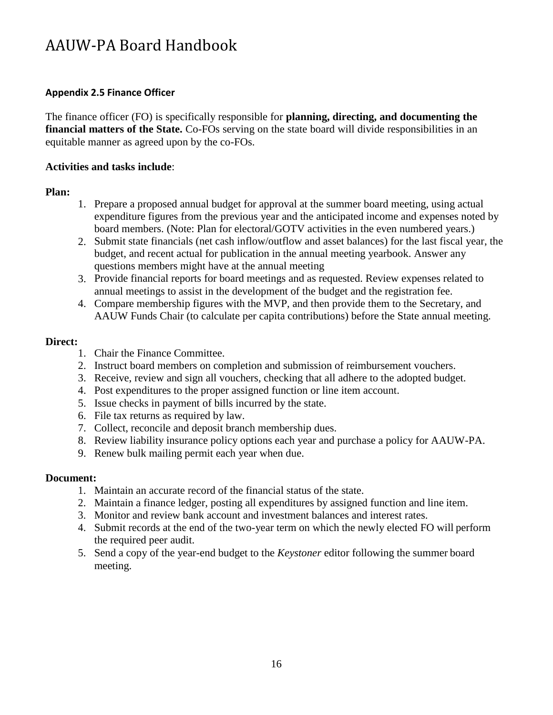# <span id="page-15-0"></span>**Appendix 2.5 Finance Officer**

The finance officer (FO) is specifically responsible for **planning, directing, and documenting the financial matters of the State.** Co-FOs serving on the state board will divide responsibilities in an equitable manner as agreed upon by the co-FOs.

# **Activities and tasks include**:

# **Plan:**

- 1. Prepare a proposed annual budget for approval at the summer board meeting, using actual expenditure figures from the previous year and the anticipated income and expenses noted by board members. (Note: Plan for electoral/GOTV activities in the even numbered years.)
- 2. Submit state financials (net cash inflow/outflow and asset balances) for the last fiscal year, the budget, and recent actual for publication in the annual meeting yearbook. Answer any questions members might have at the annual meeting
- Provide financial reports for board meetings and as requested. Review expenses related to 3. annual meetings to assist in the development of the budget and the registration fee.
- Compare membership figures with the MVP, and then provide them to the Secretary, and 4. AAUW Funds Chair (to calculate per capita contributions) before the State annual meeting.

# **Direct:**

- 1. Chair the Finance Committee.
- 2. Instruct board members on completion and submission of reimbursement vouchers.
- 3. Receive, review and sign all vouchers, checking that all adhere to the adopted budget.
- 4. Post expenditures to the proper assigned function or line item account.
- 5. Issue checks in payment of bills incurred by the state.
- 6. File tax returns as required by law.
- 7. Collect, reconcile and deposit branch membership dues.
- 8. Review liability insurance policy options each year and purchase a policy for AAUW-PA.
- 9. Renew bulk mailing permit each year when due.

# **Document:**

- 1. Maintain an accurate record of the financial status of the state.
- 2. Maintain a finance ledger, posting all expenditures by assigned function and line item.
- 3. Monitor and review bank account and investment balances and interest rates.
- 4. Submit records at the end of the two-year term on which the newly elected FO will perform the required peer audit.
- 5. Send a copy of the year-end budget to the *Keystoner* editor following the summer board meeting.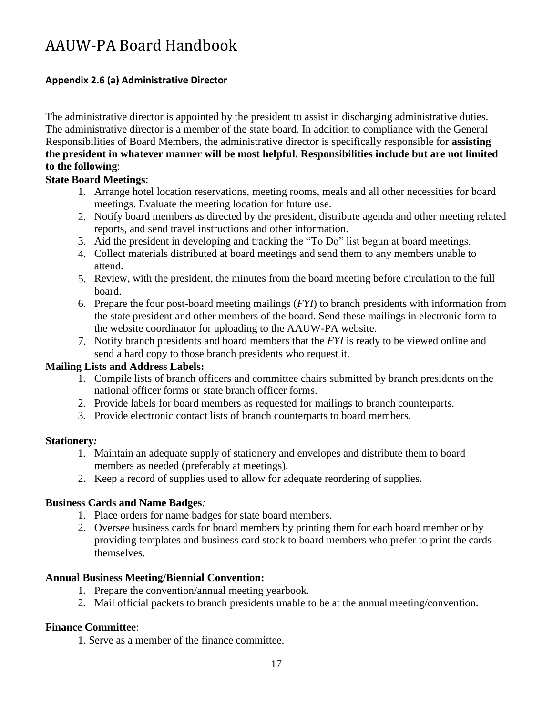# <span id="page-16-0"></span>**Appendix 2.6 (a) Administrative Director**

The administrative director is appointed by the president to assist in discharging administrative duties. The administrative director is a member of the state board. In addition to compliance with the General Responsibilities of Board Members, the administrative director is specifically responsible for **assisting the president in whatever manner will be most helpful. Responsibilities include but are not limited to the following**:

# **State Board Meetings**:

- 1. Arrange hotel location reservations, meeting rooms, meals and all other necessities for board meetings. Evaluate the meeting location for future use.
- 2. Notify board members as directed by the president, distribute agenda and other meeting related reports, and send travel instructions and other information.
- Aid the president in developing and tracking the "To Do" list begun at board meetings. 3.
- Collect materials distributed at board meetings and send them to any members unable to 4. attend.
- Review, with the president, the minutes from the board meeting before circulation to the full 5. board.
- Prepare the four post-board meeting mailings (*FYI*) to branch presidents with information from 6. the state president and other members of the board. Send these mailings in electronic form to the website coordinator for uploading to the AAUW-PA website.
- 7. Notify branch presidents and board members that the *FYI* is ready to be viewed online and send a hard copy to those branch presidents who request it.

# **Mailing Lists and Address Labels:**

- 1. Compile lists of branch officers and committee chairs submitted by branch presidents on the national officer forms or state branch officer forms.
- 2. Provide labels for board members as requested for mailings to branch counterparts.
- 3. Provide electronic contact lists of branch counterparts to board members.

# **Stationery***:*

- 1. Maintain an adequate supply of stationery and envelopes and distribute them to board members as needed (preferably at meetings).
- 2. Keep a record of supplies used to allow for adequate reordering of supplies.

# **Business Cards and Name Badges***:*

- 1. Place orders for name badges for state board members.
- 2. Oversee business cards for board members by printing them for each board member or by providing templates and business card stock to board members who prefer to print the cards themselves.

# **Annual Business Meeting/Biennial Convention:**

- 1. Prepare the convention/annual meeting yearbook.
- 2. Mail official packets to branch presidents unable to be at the annual meeting/convention.

# **Finance Committee**:

1. Serve as a member of the finance committee.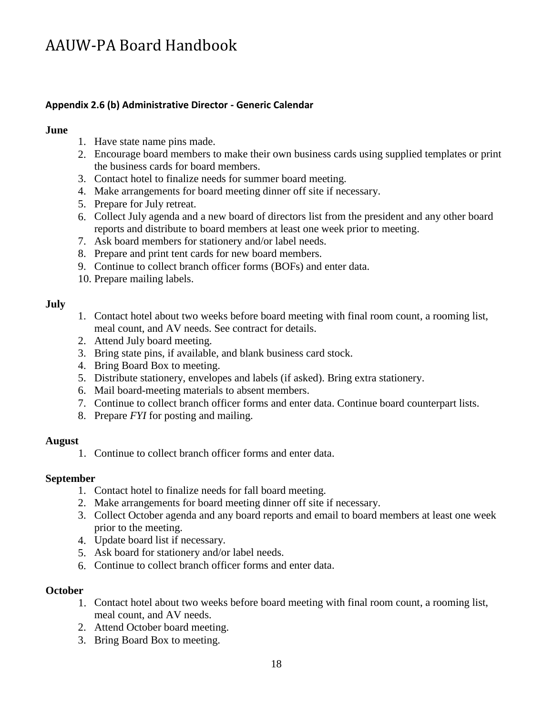## <span id="page-17-0"></span>**Appendix 2.6 (b) Administrative Director - Generic Calendar**

#### **June**

- 1. Have state name pins made.
- 2. Encourage board members to make their own business cards using supplied templates or print the business cards for board members.
- 3. Contact hotel to finalize needs for summer board meeting.
- Make arrangements for board meeting dinner off site if necessary. 4.
- 5. Prepare for July retreat.
- Collect July agenda and a new board of directors list from the president and any other board 6. reports and distribute to board members at least one week prior to meeting.
- Ask board members for stationery and/or label needs. 7.
- 8. Prepare and print tent cards for new board members.
- 9. Continue to collect branch officer forms (BOFs) and enter data.
- 10. Prepare mailing labels.

#### **July**

- 1. Contact hotel about two weeks before board meeting with final room count, a rooming list, meal count, and AV needs. See contract for details.
- Attend July board meeting. 2.
- 3. Bring state pins, if available, and blank business card stock.
- 4. Bring Board Box to meeting.
- Distribute stationery, envelopes and labels (if asked). Bring extra stationery. 5.
- Mail board-meeting materials to absent members. 6.
- 7. Continue to collect branch officer forms and enter data. Continue board counterpart lists.
- 8. Prepare *FYI* for posting and mailing.

#### **August**

1. Continue to collect branch officer forms and enter data.

#### **September**

- 1. Contact hotel to finalize needs for fall board meeting.
- 2. Make arrangements for board meeting dinner off site if necessary.
- 3. Collect October agenda and any board reports and email to board members at least one week prior to the meeting.
- 4. Update board list if necessary.
- Ask board for stationery and/or label needs. 5.
- 6. Continue to collect branch officer forms and enter data.

#### **October**

- 1. Contact hotel about two weeks before board meeting with final room count, a rooming list, meal count, and AV needs.
- Attend October board meeting. 2.
- 3. Bring Board Box to meeting.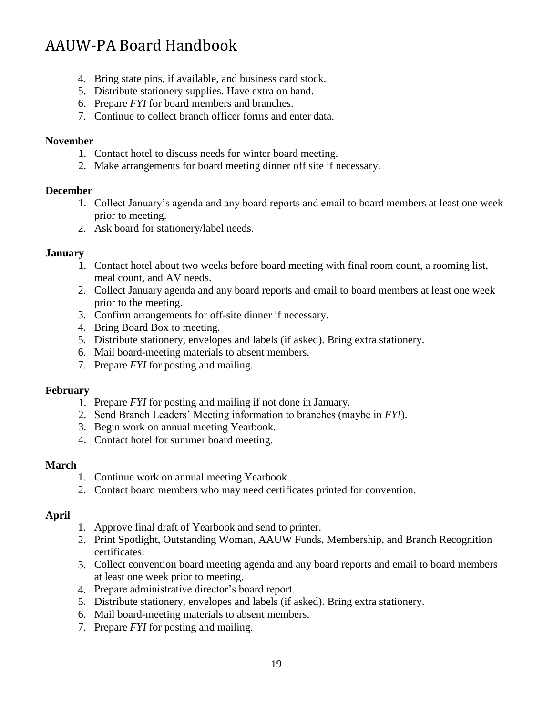- 4. Bring state pins, if available, and business card stock.
- 5. Distribute stationery supplies. Have extra on hand.
- 6. Prepare *FYI* for board members and branches.
- 7. Continue to collect branch officer forms and enter data.

#### **November**

- 1. Contact hotel to discuss needs for winter board meeting.
- 2. Make arrangements for board meeting dinner off site if necessary.

## **December**

- 1. Collect January's agenda and any board reports and email to board members at least one week prior to meeting.
- 2. Ask board for stationery/label needs.

## **January**

- 1. Contact hotel about two weeks before board meeting with final room count, a rooming list, meal count, and AV needs.
- 2. Collect January agenda and any board reports and email to board members at least one week prior to the meeting.
- Confirm arrangements for off-site dinner if necessary. 3.
- 4. Bring Board Box to meeting.
- Distribute stationery, envelopes and labels (if asked). Bring extra stationery. 5.
- Mail board-meeting materials to absent members. 6.
- 7. Prepare *FYI* for posting and mailing.

#### **February**

- 1. Prepare *FYI* for posting and mailing if not done in January.
- 2. Send Branch Leaders' Meeting information to branches (maybe in *FYI*).
- 3. Begin work on annual meeting Yearbook.
- 4. Contact hotel for summer board meeting.

#### **March**

- 1. Continue work on annual meeting Yearbook.
- 2. Contact board members who may need certificates printed for convention.

# **April**

- 1. Approve final draft of Yearbook and send to printer.
- 2. Print Spotlight, Outstanding Woman, AAUW Funds, Membership, and Branch Recognition certificates.
- Collect convention board meeting agenda and any board reports and email to board members 3. at least one week prior to meeting.
- 4. Prepare administrative director's board report.
- Distribute stationery, envelopes and labels (if asked). Bring extra stationery. 5.
- Mail board-meeting materials to absent members. 6.
- 7. Prepare *FYI* for posting and mailing.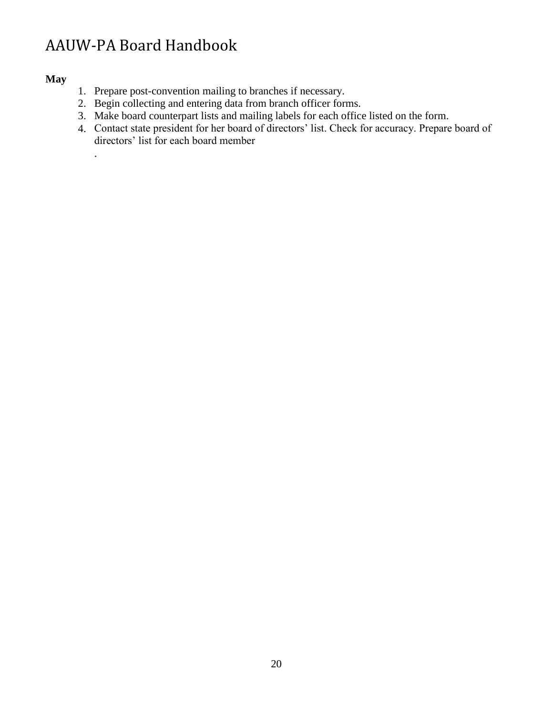# **May**

.

- 1. Prepare post-convention mailing to branches if necessary.
- 2. Begin collecting and entering data from branch officer forms.
- 3. Make board counterpart lists and mailing labels for each office listed on the form.
- 4. Contact state president for her board of directors' list. Check for accuracy. Prepare board of directors' list for each board member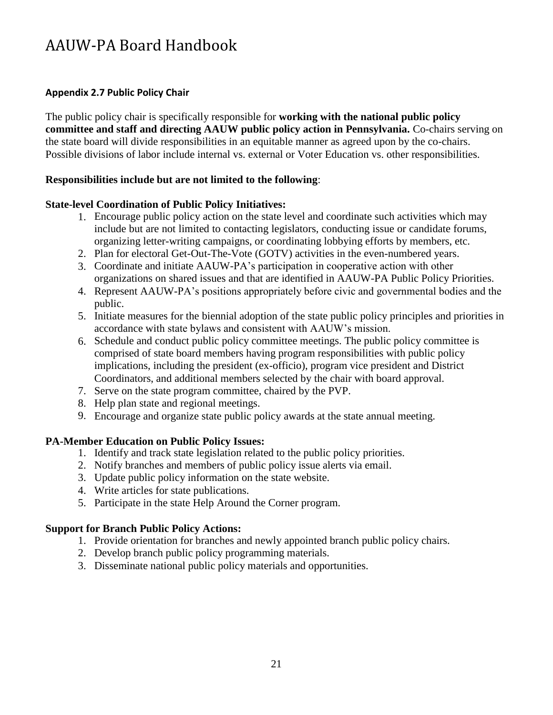# <span id="page-20-0"></span>**Appendix 2.7 Public Policy Chair**

The public policy chair is specifically responsible for **working with the national public policy committee and staff and directing AAUW public policy action in Pennsylvania.** Co-chairs serving on the state board will divide responsibilities in an equitable manner as agreed upon by the co-chairs. Possible divisions of labor include internal vs. external or Voter Education vs. other responsibilities.

# **Responsibilities include but are not limited to the following**:

# **State-level Coordination of Public Policy Initiatives:**

- 1. Encourage public policy action on the state level and coordinate such activities which may include but are not limited to contacting legislators, conducting issue or candidate forums, organizing letter-writing campaigns, or coordinating lobbying efforts by members, etc.
- 2. Plan for electoral Get-Out-The-Vote (GOTV) activities in the even-numbered years.
- Coordinate and initiate AAUW-PA's participation in cooperative action with other 3. organizations on shared issues and that are identified in AAUW-PA Public Policy Priorities.
- Represent AAUW-PA's positions appropriately before civic and governmental bodies and the 4. public.
- 5. Initiate measures for the biennial adoption of the state public policy principles and priorities in accordance with state bylaws and consistent with AAUW's mission.
- 6. Schedule and conduct public policy committee meetings. The public policy committee is comprised of state board members having program responsibilities with public policy implications, including the president (ex-officio), program vice president and District Coordinators, and additional members selected by the chair with board approval.
- 7. Serve on the state program committee, chaired by the PVP.
- 8. Help plan state and regional meetings.
- Encourage and organize state public policy awards at the state annual meeting. 9.

# **PA-Member Education on Public Policy Issues:**

- 1. Identify and track state legislation related to the public policy priorities.
- 2. Notify branches and members of public policy issue alerts via email.
- 3. Update public policy information on the state website.
- 4. Write articles for state publications.
- 5. Participate in the state Help Around the Corner program.

# **Support for Branch Public Policy Actions:**

- 1. Provide orientation for branches and newly appointed branch public policy chairs.
- 2. Develop branch public policy programming materials.
- 3. Disseminate national public policy materials and opportunities.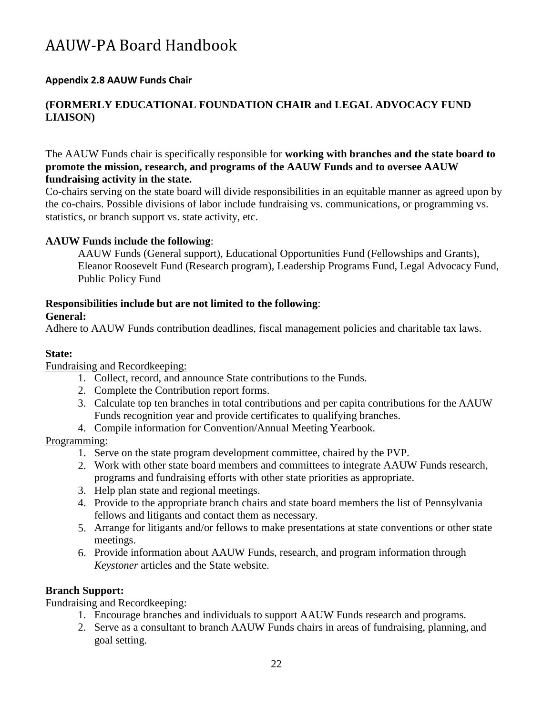# <span id="page-21-0"></span>**Appendix 2.8 AAUW Funds Chair**

# **(FORMERLY EDUCATIONAL FOUNDATION CHAIR and LEGAL ADVOCACY FUND LIAISON)**

The AAUW Funds chair is specifically responsible for **working with branches and the state board to promote the mission, research, and programs of the AAUW Funds and to oversee AAUW fundraising activity in the state.**

Co-chairs serving on the state board will divide responsibilities in an equitable manner as agreed upon by the co-chairs. Possible divisions of labor include fundraising vs. communications, or programming vs. statistics, or branch support vs. state activity, etc.

## **AAUW Funds include the following**:

AAUW Funds (General support), Educational Opportunities Fund (Fellowships and Grants), Eleanor Roosevelt Fund (Research program), Leadership Programs Fund, Legal Advocacy Fund, Public Policy Fund

## **Responsibilities include but are not limited to the following**:

#### **General:**

Adhere to AAUW Funds contribution deadlines, fiscal management policies and charitable tax laws.

## **State:**

Fundraising and Recordkeeping:

- 1. Collect, record, and announce State contributions to the Funds.
- 2. Complete the Contribution report forms.
- 3. Calculate top ten branches in total contributions and per capita contributions for the AAUW Funds recognition year and provide certificates to qualifying branches.
- 4. Compile information for Convention/Annual Meeting Yearbook.

#### Programming:

- 1. Serve on the state program development committee, chaired by the PVP.
- 2. Work with other state board members and committees to integrate AAUW Funds research, programs and fundraising efforts with other state priorities as appropriate.
- 3. Help plan state and regional meetings.
- 4. Provide to the appropriate branch chairs and state board members the list of Pennsylvania fellows and litigants and contact them as necessary.
- Arrange for litigants and/or fellows to make presentations at state conventions or other state 5. meetings.
- 6. Provide information about AAUW Funds, research, and program information through *Keystoner* articles and the State website.

# **Branch Support:**

Fundraising and Recordkeeping:

- 1. Encourage branches and individuals to support AAUW Funds research and programs.
- 2. Serve as a consultant to branch AAUW Funds chairs in areas of fundraising, planning, and goal setting.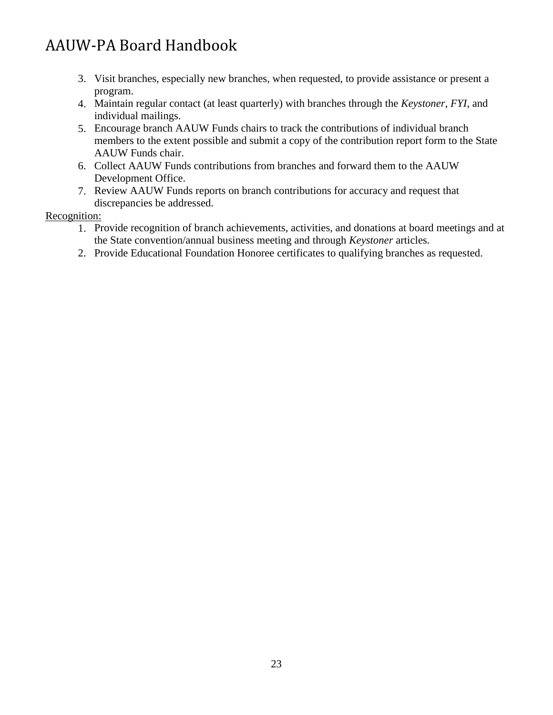- 3. Visit branches, especially new branches, when requested, to provide assistance or present a program.
- Maintain regular contact (at least quarterly) with branches through the *Keystoner*, *FYI*, and 4. individual mailings.
- Encourage branch AAUW Funds chairs to track the contributions of individual branch 5. members to the extent possible and submit a copy of the contribution report form to the State AAUW Funds chair.
- 6. Collect AAUW Funds contributions from branches and forward them to the AAUW Development Office.
- 7. Review AAUW Funds reports on branch contributions for accuracy and request that discrepancies be addressed.

# Recognition:

- 1. Provide recognition of branch achievements, activities, and donations at board meetings and at the State convention/annual business meeting and through *Keystoner* articles*.*
- 2. Provide Educational Foundation Honoree certificates to qualifying branches as requested.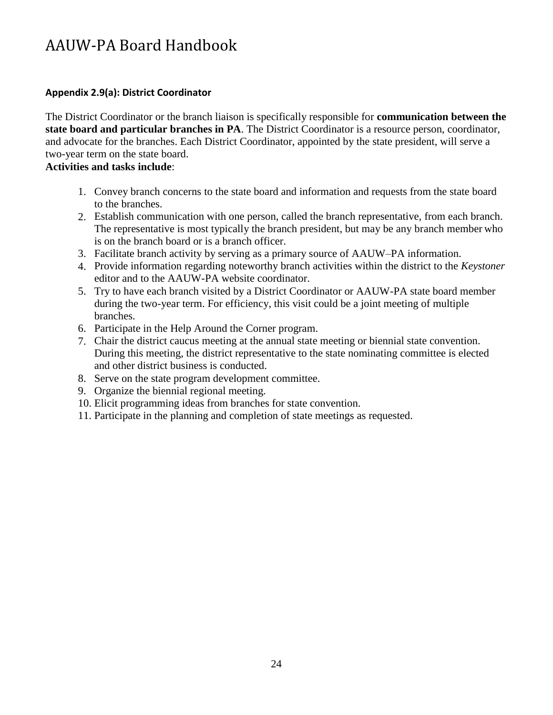# <span id="page-23-0"></span>**Appendix 2.9(a): District Coordinator**

The District Coordinator or the branch liaison is specifically responsible for **communication between the state board and particular branches in PA**. The District Coordinator is a resource person, coordinator, and advocate for the branches. Each District Coordinator, appointed by the state president, will serve a two-year term on the state board.

# **Activities and tasks include**:

- 1. Convey branch concerns to the state board and information and requests from the state board to the branches.
- Establish communication with one person, called the branch representative, from each branch. 2. The representative is most typically the branch president, but may be any branch member who is on the branch board or is a branch officer.
- Facilitate branch activity by serving as a primary source of AAUW–PA information. 3.
- Provide information regarding noteworthy branch activities within the district to the *Keystoner* 4. editor and to the AAUW-PA website coordinator.
- 5. Try to have each branch visited by a District Coordinator or AAUW-PA state board member during the two-year term. For efficiency, this visit could be a joint meeting of multiple branches.
- 6. Participate in the Help Around the Corner program.
- Chair the district caucus meeting at the annual state meeting or biennial state convention. 7. During this meeting, the district representative to the state nominating committee is elected and other district business is conducted.
- 8. Serve on the state program development committee.
- 9. Organize the biennial regional meeting.
- 10. Elicit programming ideas from branches for state convention.
- 11. Participate in the planning and completion of state meetings as requested.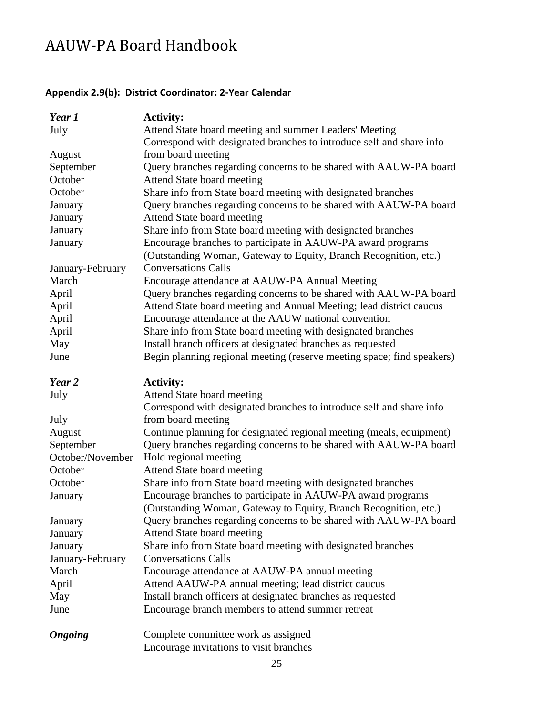# <span id="page-24-0"></span>**Appendix 2.9(b): District Coordinator: 2-Year Calendar**

| Year 1           | <b>Activity:</b>                                                               |
|------------------|--------------------------------------------------------------------------------|
| July             | Attend State board meeting and summer Leaders' Meeting                         |
|                  | Correspond with designated branches to introduce self and share info           |
| August           | from board meeting                                                             |
| September        | Query branches regarding concerns to be shared with AAUW-PA board              |
| October          | Attend State board meeting                                                     |
| October          | Share info from State board meeting with designated branches                   |
| January          | Query branches regarding concerns to be shared with AAUW-PA board              |
| January          | Attend State board meeting                                                     |
| January          | Share info from State board meeting with designated branches                   |
| January          | Encourage branches to participate in AAUW-PA award programs                    |
|                  | (Outstanding Woman, Gateway to Equity, Branch Recognition, etc.)               |
| January-February | <b>Conversations Calls</b>                                                     |
| March            | Encourage attendance at AAUW-PA Annual Meeting                                 |
| April            | Query branches regarding concerns to be shared with AAUW-PA board              |
| April            | Attend State board meeting and Annual Meeting; lead district caucus            |
| April            | Encourage attendance at the AAUW national convention                           |
| April            | Share info from State board meeting with designated branches                   |
| May              | Install branch officers at designated branches as requested                    |
| June             | Begin planning regional meeting (reserve meeting space; find speakers)         |
| Year 2           | <b>Activity:</b>                                                               |
| July             | Attend State board meeting                                                     |
|                  | Correspond with designated branches to introduce self and share info           |
| July             | from board meeting                                                             |
| August           | Continue planning for designated regional meeting (meals, equipment)           |
| September        | Query branches regarding concerns to be shared with AAUW-PA board              |
| October/November | Hold regional meeting                                                          |
| October          | Attend State board meeting                                                     |
| October          | Share info from State board meeting with designated branches                   |
| January          | Encourage branches to participate in AAUW-PA award programs                    |
|                  | (Outstanding Woman, Gateway to Equity, Branch Recognition, etc.)               |
| January          | Query branches regarding concerns to be shared with AAUW-PA board              |
| January          | Attend State board meeting                                                     |
| January          | Share info from State board meeting with designated branches                   |
| January-February | <b>Conversations Calls</b>                                                     |
| March            | Encourage attendance at AAUW-PA annual meeting                                 |
| April            | Attend AAUW-PA annual meeting; lead district caucus                            |
| May              | Install branch officers at designated branches as requested                    |
| June             | Encourage branch members to attend summer retreat                              |
|                  |                                                                                |
| <b>Ongoing</b>   | Complete committee work as assigned<br>Encourage invitations to visit branches |
|                  |                                                                                |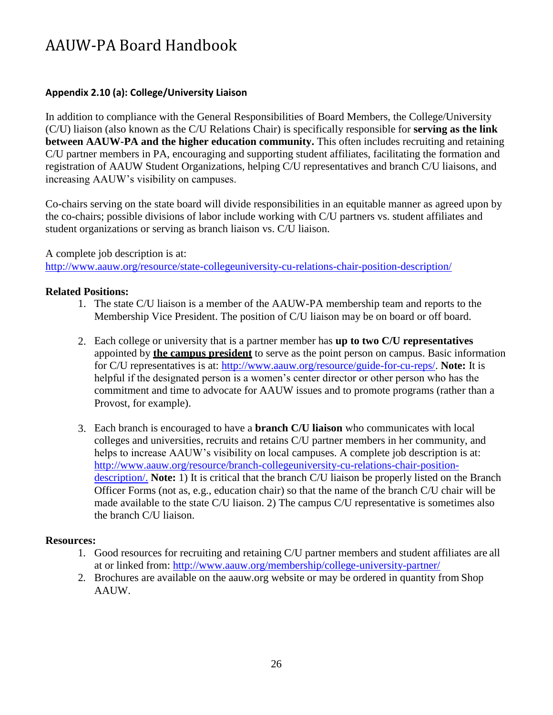# <span id="page-25-0"></span>**Appendix 2.10 (a): College/University Liaison**

In addition to compliance with the General Responsibilities of Board Members, the College/University (C/U) liaison (also known as the C/U Relations Chair) is specifically responsible for **serving as the link between AAUW-PA and the higher education community.** This often includes recruiting and retaining C/U partner members in PA, encouraging and supporting student affiliates, facilitating the formation and registration of AAUW Student Organizations, helping C/U representatives and branch C/U liaisons, and increasing AAUW's visibility on campuses.

Co-chairs serving on the state board will divide responsibilities in an equitable manner as agreed upon by the co-chairs; possible divisions of labor include working with C/U partners vs. student affiliates and student organizations or serving as branch liaison vs. C/U liaison.

## A complete job description is at:

<http://www.aauw.org/resource/state-collegeuniversity-cu-relations-chair-position-description/>

# **Related Positions:**

- 1. The state C/U liaison is a member of the AAUW-PA membership team and reports to the Membership Vice President. The position of C/U liaison may be on board or off board.
- 2. Each college or university that is a partner member has **up to two C/U representatives**  appointed by **the campus president** to serve as the point person on campus. Basic information for C/U representatives is at: [http://www.aauw.org/resource/guide-for-cu-reps/.](http://www.aauw.org/resource/guide-for-cu-reps/) **Note:** It is helpful if the designated person is a women's center director or other person who has the commitment and time to advocate for AAUW issues and to promote programs (rather than a Provost, for example).
- 3. Each branch is encouraged to have a **branch C/U liaison** who communicates with local colleges and universities, recruits and retains C/U partner members in her community, and helps to increase AAUW's visibility on local campuses. A complete job description is at: [http://www.aauw.org/resource/branch-collegeuniversity-cu-relations-chair-position](http://www.aauw.org/resource/branch-collegeuniversity-cu-relations-chair-position-description/)[description/.](http://www.aauw.org/resource/branch-collegeuniversity-cu-relations-chair-position-description/) **Note:** 1) It is critical that the branch C/U liaison be properly listed on the Branch Officer Forms (not as, e.g., education chair) so that the name of the branch C/U chair will be made available to the state C/U liaison. 2) The campus C/U representative is sometimes also the branch C/U liaison.

#### **Resources:**

- 1. Good resources for recruiting and retaining C/U partner members and student affiliates are all at or linked from: <http://www.aauw.org/membership/college-university-partner/>
- 2. Brochures are available on the aauw.org website or may be ordered in quantity from Shop AAUW.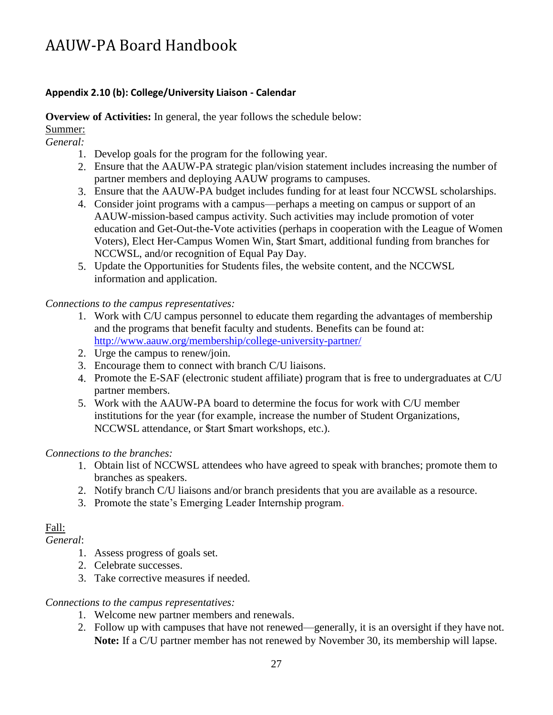# <span id="page-26-0"></span>**Appendix 2.10 (b): College/University Liaison - Calendar**

**Overview of Activities:** In general, the year follows the schedule below:

Summer:

*General:*

- 1. Develop goals for the program for the following year.
- 2. Ensure that the AAUW-PA strategic plan/vision statement includes increasing the number of partner members and deploying AAUW programs to campuses.
- Ensure that the AAUW-PA budget includes funding for at least four NCCWSL scholarships. 3.
- Consider joint programs with a campus—perhaps a meeting on campus or support of an 4. AAUW-mission-based campus activity. Such activities may include promotion of voter education and Get-Out-the-Vote activities (perhaps in cooperation with the League of Women Voters), Elect Her-Campus Women Win, \$tart \$mart, additional funding from branches for NCCWSL, and/or recognition of Equal Pay Day.
- 5. Update the Opportunities for Students files, the website content, and the NCCWSL information and application.

*Connections to the campus representatives:*

- 1. Work with C/U campus personnel to educate them regarding the advantages of membership and the programs that benefit faculty and students. Benefits can be found at: <http://www.aauw.org/membership/college-university-partner/>
- 2. Urge the campus to renew/join.
- Encourage them to connect with branch C/U liaisons. 3.
- Promote the E-SAF (electronic student affiliate) program that is free to undergraduates at C/U 4. partner members.
- Work with the AAUW-PA board to determine the focus for work with C/U member 5. institutions for the year (for example, increase the number of Student Organizations, NCCWSL attendance, or \$tart \$mart workshops, etc.).

#### *Connections to the branches:*

- 1. Obtain list of NCCWSL attendees who have agreed to speak with branches; promote them to branches as speakers.
- 2. Notify branch C/U liaisons and/or branch presidents that you are available as a resource.
- 3. Promote the state's Emerging Leader Internship program.

# Fall:

*General*:

- 1. Assess progress of goals set.
- 2. Celebrate successes.
- 3. Take corrective measures if needed.

#### *Connections to the campus representatives:*

- 1. Welcome new partner members and renewals.
- 2. Follow up with campuses that have not renewed—generally, it is an oversight if they have not. **Note:** If a C/U partner member has not renewed by November 30, its membership will lapse.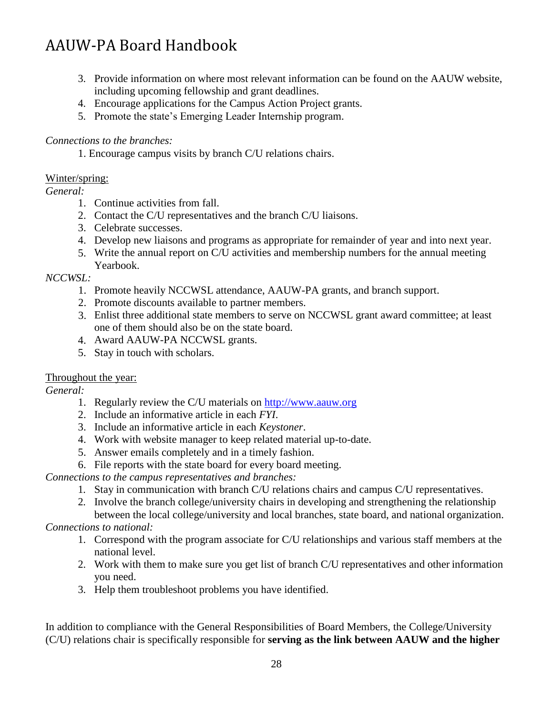- 3. Provide information on where most relevant information can be found on the AAUW website, including upcoming fellowship and grant deadlines.
- 4. Encourage applications for the Campus Action Project grants.
- 5. Promote the state's Emerging Leader Internship program.

# *Connections to the branches:*

1. Encourage campus visits by branch C/U relations chairs.

# Winter/spring:

# *General:*

- 1. Continue activities from fall.
- 2. Contact the C/U representatives and the branch C/U liaisons.
- 3. Celebrate successes.
- 4. Develop new liaisons and programs as appropriate for remainder of year and into next year.
- 5. Write the annual report on C/U activities and membership numbers for the annual meeting Yearbook.

# *NCCWSL:*

- 1. Promote heavily NCCWSL attendance, AAUW-PA grants, and branch support.
- 2. Promote discounts available to partner members.
- 3. Enlist three additional state members to serve on NCCWSL grant award committee; at least one of them should also be on the state board.
- 4. Award AAUW-PA NCCWSL grants.
- 5. Stay in touch with scholars.

# Throughout the year:

# *General:*

- 1. Regularly review the C/U materials on [http://www.aauw.org](http://www.aauw.org/)
- 2. Include an informative article in each *FYI*.
- 3. Include an informative article in each *Keystoner*.
- 4. Work with website manager to keep related material up-to-date.
- 5. Answer emails completely and in a timely fashion.
- 6. File reports with the state board for every board meeting.

# *Connections to the campus representatives and branches:*

- 1. Stay in communication with branch C/U relations chairs and campus C/U representatives.
- 2. Involve the branch college/university chairs in developing and strengthening the relationship between the local college/university and local branches, state board, and national organization.

# *Connections to national:*

- 1. Correspond with the program associate for C/U relationships and various staff members at the national level.
- 2. Work with them to make sure you get list of branch C/U representatives and other information you need.
- 3. Help them troubleshoot problems you have identified.

In addition to compliance with the General Responsibilities of Board Members, the College/University (C/U) relations chair is specifically responsible for **serving as the link between AAUW and the higher**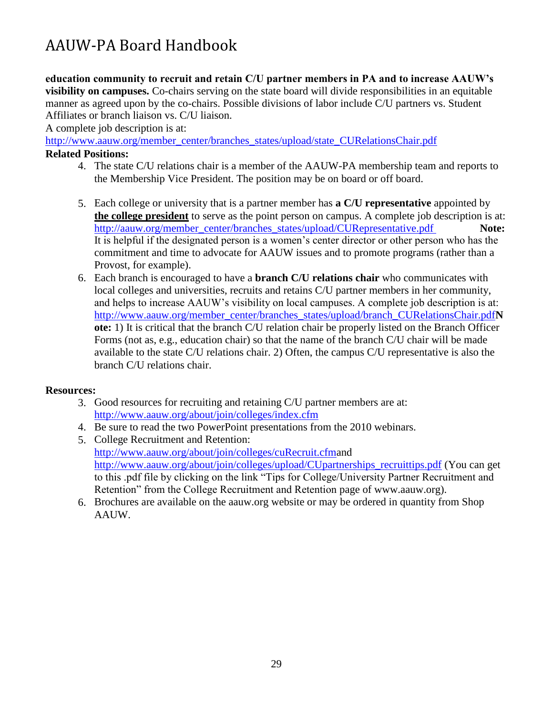**education community to recruit and retain C/U partner members in PA and to increase AAUW's visibility on campuses.** Co-chairs serving on the state board will divide responsibilities in an equitable manner as agreed upon by the co-chairs. Possible divisions of labor include C/U partners vs. Student Affiliates or branch liaison vs. C/U liaison.

A complete job description is at:

[http://www.aauw.org/member\\_center/branches\\_states/upload/state\\_CURelationsChair.pdf](http://www.aauw.org/member_center/branches_states/upload/state_CURelationsChair.pdf)

## **Related Positions:**

- 4. The state C/U relations chair is a member of the AAUW-PA membership team and reports to the Membership Vice President. The position may be on board or off board.
- 5. Each college or university that is a partner member has **a C/U representative** appointed by **the college president** to serve as the point person on campus. A complete job description is at: [http://aauw.org/member\\_center/branches\\_states/upload/CURepresentative.pdf](http://aauw.org/member_center/branches_states/upload/CURepresentative.pdf) **Note:** It is helpful if the designated person is a women's center director or other person who has the commitment and time to advocate for AAUW issues and to promote programs (rather than a Provost, for example).
- Each branch is encouraged to have a **branch C/U relations chair** who communicates with 6. local colleges and universities, recruits and retains C/U partner members in her community, and helps to increase AAUW's visibility on local campuses. A complete job description is at: [http://www.aauw.org/member\\_center/branches\\_states/upload/branch\\_CURelationsChair.pdf](http://www.aauw.org/member_center/branches_states/upload/branch_CURelationsChair.pdfN)**N ote:** 1) It is critical that the branch C/U relation chair be properly listed on the Branch Officer Forms (not as, e.g., education chair) so that the name of the branch C/U chair will be made available to the state C/U relations chair. 2) Often, the campus C/U representative is also the branch C/U relations chair.

# **Resources:**

- 3. Good resources for recruiting and retaining C/U partner members are at: <http://www.aauw.org/about/join/colleges/index.cfm>
- 4. Be sure to read the two PowerPoint presentations from the 2010 webinars.
- 5. College Recruitment and Retention: <http://www.aauw.org/about/join/colleges/cuRecruit.cfmand> [http://www.aauw.org/about/join/colleges/upload/CUpartnerships\\_recruittips.pdf](http://www.aauw.org/about/join/colleges/upload/CUpartnerships_recruittips.pdf) (You can get to this .pdf file by clicking on the link "Tips for College/University Partner Recruitment and Retention" from the College Recruitment and Retention page of www.aauw.org).
- Brochures are available on the aauw.org website or may be ordered in quantity from Shop 6. AAUW.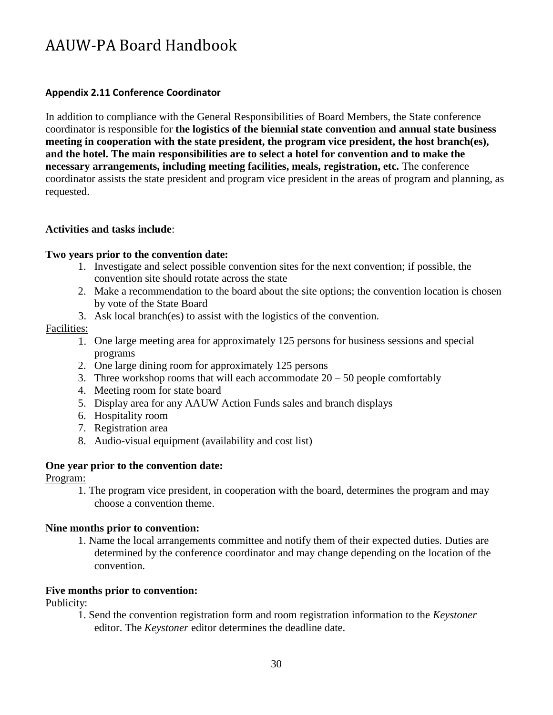## <span id="page-29-0"></span>**Appendix 2.11 Conference Coordinator**

In addition to compliance with the General Responsibilities of Board Members, the State conference coordinator is responsible for **the logistics of the biennial state convention and annual state business meeting in cooperation with the state president, the program vice president, the host branch(es), and the hotel. The main responsibilities are to select a hotel for convention and to make the necessary arrangements, including meeting facilities, meals, registration, etc.** The conference coordinator assists the state president and program vice president in the areas of program and planning, as requested.

## **Activities and tasks include**:

## **Two years prior to the convention date:**

- 1. Investigate and select possible convention sites for the next convention; if possible, the convention site should rotate across the state
- Make a recommendation to the board about the site options; the convention location is chosen 2. by vote of the State Board
- Ask local branch(es) to assist with the logistics of the convention. 3.

#### Facilities:

- 1. One large meeting area for approximately 125 persons for business sessions and special programs
- 2. One large dining room for approximately 125 persons
- 3. Three workshop rooms that will each accommodate  $20 50$  people comfortably
- 4. Meeting room for state board
- 5. Display area for any AAUW Action Funds sales and branch displays
- 6. Hospitality room
- 7. Registration area
- Audio-visual equipment (availability and cost list) 8.

#### **One year prior to the convention date:**

Program:

1. The program vice president, in cooperation with the board, determines the program and may choose a convention theme.

# **Nine months prior to convention:**

1. Name the local arrangements committee and notify them of their expected duties. Duties are determined by the conference coordinator and may change depending on the location of the convention.

# **Five months prior to convention:**

Publicity:

1. Send the convention registration form and room registration information to the *Keystoner* editor. The *Keystoner* editor determines the deadline date.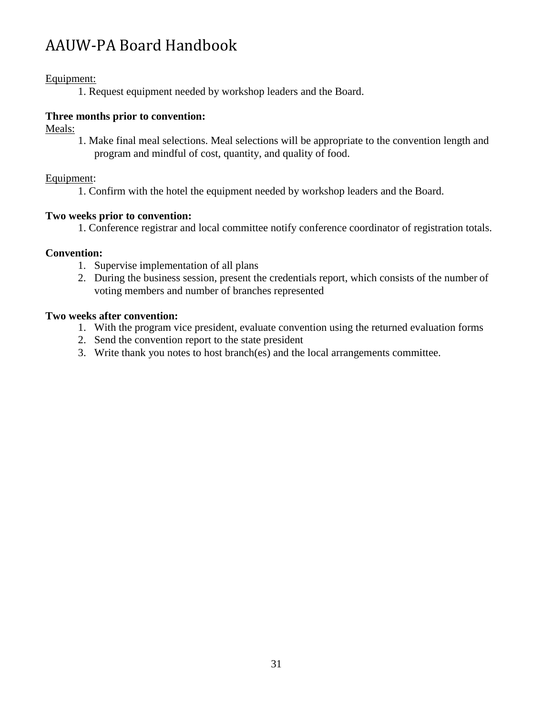# Equipment:

1. Request equipment needed by workshop leaders and the Board.

# **Three months prior to convention:**

Meals:

1. Make final meal selections. Meal selections will be appropriate to the convention length and program and mindful of cost, quantity, and quality of food.

# Equipment:

1. Confirm with the hotel the equipment needed by workshop leaders and the Board.

# **Two weeks prior to convention:**

1. Conference registrar and local committee notify conference coordinator of registration totals.

# **Convention:**

- 1. Supervise implementation of all plans
- 2. During the business session, present the credentials report, which consists of the number of voting members and number of branches represented

# **Two weeks after convention:**

- 1. With the program vice president, evaluate convention using the returned evaluation forms
- 2. Send the convention report to the state president
- 3. Write thank you notes to host branch(es) and the local arrangements committee.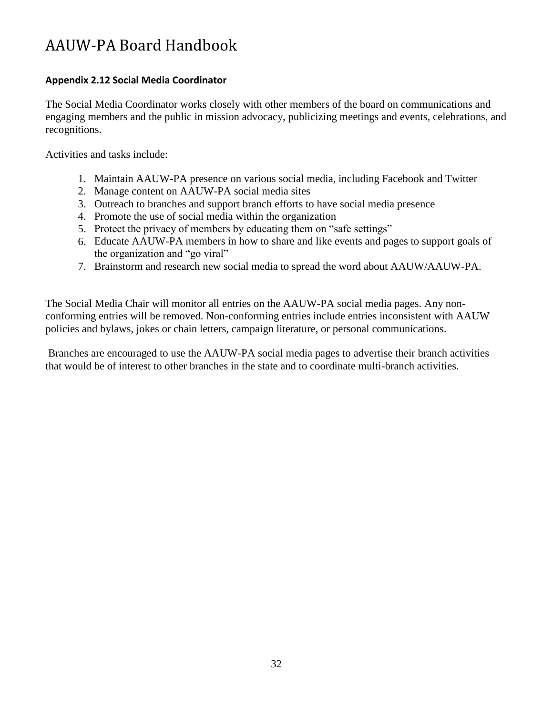# <span id="page-31-0"></span>**Appendix 2.12 Social Media Coordinator**

The Social Media Coordinator works closely with other members of the board on communications and engaging members and the public in mission advocacy, publicizing meetings and events, celebrations, and recognitions.

Activities and tasks include:

- 1. Maintain AAUW-PA presence on various social media, including Facebook and Twitter
- 2. Manage content on AAUW-PA social media sites
- 3. Outreach to branches and support branch efforts to have social media presence
- 4. Promote the use of social media within the organization
- 5. Protect the privacy of members by educating them on "safe settings"
- 6. Educate AAUW-PA members in how to share and like events and pages to support goals of the organization and "go viral"
- 7. Brainstorm and research new social media to spread the word about AAUW/AAUW-PA.

The Social Media Chair will monitor all entries on the AAUW-PA social media pages. Any nonconforming entries will be removed. Non-conforming entries include entries inconsistent with AAUW policies and bylaws, jokes or chain letters, campaign literature, or personal communications.

Branches are encouraged to use the AAUW-PA social media pages to advertise their branch activities that would be of interest to other branches in the state and to coordinate multi-branch activities.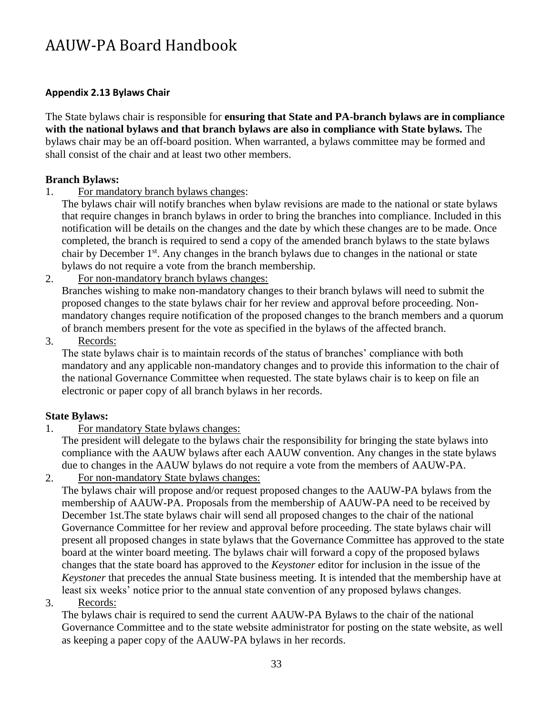# <span id="page-32-0"></span>**Appendix 2.13 Bylaws Chair**

The State bylaws chair is responsible for **ensuring that State and PA-branch bylaws are in compliance with the national bylaws and that branch bylaws are also in compliance with State bylaws.** The bylaws chair may be an off-board position. When warranted, a bylaws committee may be formed and shall consist of the chair and at least two other members.

# **Branch Bylaws:**

- 1. For mandatory branch bylaws changes:
	- The bylaws chair will notify branches when bylaw revisions are made to the national or state bylaws that require changes in branch bylaws in order to bring the branches into compliance. Included in this notification will be details on the changes and the date by which these changes are to be made. Once completed, the branch is required to send a copy of the amended branch bylaws to the state bylaws chair by December 1st. Any changes in the branch bylaws due to changes in the national or state bylaws do not require a vote from the branch membership.
- For non-mandatory branch bylaws changes: 2.

Branches wishing to make non-mandatory changes to their branch bylaws will need to submit the proposed changes to the state bylaws chair for her review and approval before proceeding. Nonmandatory changes require notification of the proposed changes to the branch members and a quorum of branch members present for the vote as specified in the bylaws of the affected branch.

Records: 3.

The state bylaws chair is to maintain records of the status of branches' compliance with both mandatory and any applicable non-mandatory changes and to provide this information to the chair of the national Governance Committee when requested. The state bylaws chair is to keep on file an electronic or paper copy of all branch bylaws in her records.

# **State Bylaws:**

1. For mandatory State bylaws changes:

The president will delegate to the bylaws chair the responsibility for bringing the state bylaws into compliance with the AAUW bylaws after each AAUW convention. Any changes in the state bylaws due to changes in the AAUW bylaws do not require a vote from the members of AAUW-PA.

For non-mandatory State bylaws changes: 2.

The bylaws chair will propose and/or request proposed changes to the AAUW-PA bylaws from the membership of AAUW-PA. Proposals from the membership of AAUW-PA need to be received by December 1st.The state bylaws chair will send all proposed changes to the chair of the national Governance Committee for her review and approval before proceeding. The state bylaws chair will present all proposed changes in state bylaws that the Governance Committee has approved to the state board at the winter board meeting. The bylaws chair will forward a copy of the proposed bylaws changes that the state board has approved to the *Keystoner* editor for inclusion in the issue of the *Keystoner* that precedes the annual State business meeting*.* It is intended that the membership have at least six weeks' notice prior to the annual state convention of any proposed bylaws changes.

Records: 3.

The bylaws chair is required to send the current AAUW-PA Bylaws to the chair of the national Governance Committee and to the state website administrator for posting on the state website, as well as keeping a paper copy of the AAUW-PA bylaws in her records.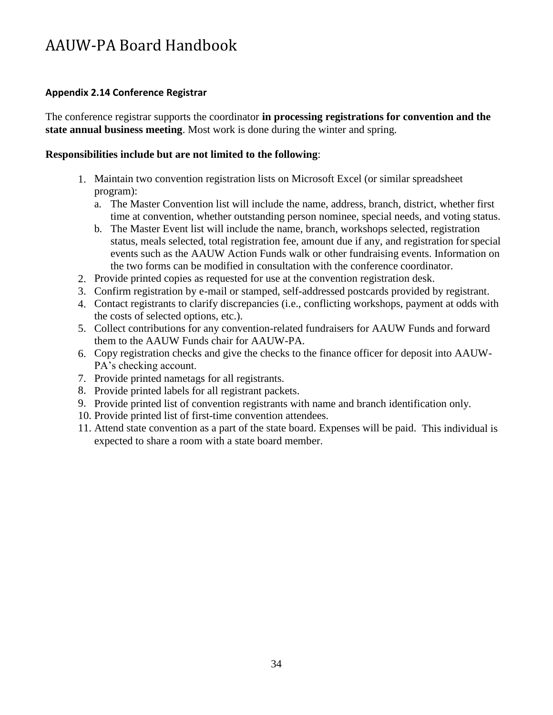# <span id="page-33-0"></span>**Appendix 2.14 Conference Registrar**

The conference registrar supports the coordinator **in processing registrations for convention and the state annual business meeting**. Most work is done during the winter and spring.

# **Responsibilities include but are not limited to the following**:

- 1. Maintain two convention registration lists on Microsoft Excel (or similar spreadsheet program):
	- a. The Master Convention list will include the name, address, branch, district, whether first time at convention, whether outstanding person nominee, special needs, and voting status.
	- b. The Master Event list will include the name, branch, workshops selected, registration status, meals selected, total registration fee, amount due if any, and registration forspecial events such as the AAUW Action Funds walk or other fundraising events. Information on the two forms can be modified in consultation with the conference coordinator.
- 2. Provide printed copies as requested for use at the convention registration desk.
- Confirm registration by e-mail or stamped, self-addressed postcards provided by registrant. 3.
- Contact registrants to clarify discrepancies (i.e., conflicting workshops, payment at odds with 4. the costs of selected options, etc.).
- 5. Collect contributions for any convention-related fundraisers for AAUW Funds and forward them to the AAUW Funds chair for AAUW-PA.
- 6. Copy registration checks and give the checks to the finance officer for deposit into AAUW-PA's checking account.
- 7. Provide printed nametags for all registrants.
- 8. Provide printed labels for all registrant packets.
- 9. Provide printed list of convention registrants with name and branch identification only.
- 10. Provide printed list of first-time convention attendees.
- 11. Attend state convention as a part of the state board. Expenses will be paid. This individual is expected to share a room with a state board member.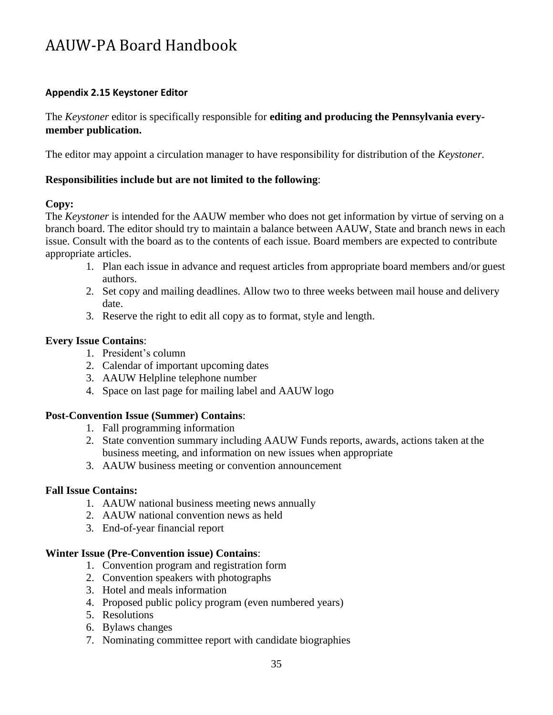# <span id="page-34-0"></span>**Appendix 2.15 Keystoner Editor**

The *Keystoner* editor is specifically responsible for **editing and producing the Pennsylvania everymember publication.**

The editor may appoint a circulation manager to have responsibility for distribution of the *Keystoner.*

## **Responsibilities include but are not limited to the following**:

## **Copy:**

The *Keystoner* is intended for the AAUW member who does not get information by virtue of serving on a branch board. The editor should try to maintain a balance between AAUW, State and branch news in each issue. Consult with the board as to the contents of each issue. Board members are expected to contribute appropriate articles.

- 1. Plan each issue in advance and request articles from appropriate board members and/or guest authors.
- 2. Set copy and mailing deadlines. Allow two to three weeks between mail house and delivery date.
- 3. Reserve the right to edit all copy as to format, style and length.

## **Every Issue Contains**:

- 1. President's column
- 2. Calendar of important upcoming dates
- 3. AAUW Helpline telephone number
- 4. Space on last page for mailing label and AAUW logo

#### **Post-Convention Issue (Summer) Contains**:

- 1. Fall programming information
- 2. State convention summary including AAUW Funds reports, awards, actions taken at the business meeting, and information on new issues when appropriate
- 3. AAUW business meeting or convention announcement

#### **Fall Issue Contains:**

- 1. AAUW national business meeting news annually
- 2. AAUW national convention news as held
- 3. End-of-year financial report

#### **Winter Issue (Pre-Convention issue) Contains**:

- 1. Convention program and registration form
- 2. Convention speakers with photographs
- 3. Hotel and meals information
- 4. Proposed public policy program (even numbered years)
- 5. Resolutions
- 6. Bylaws changes
- 7. Nominating committee report with candidate biographies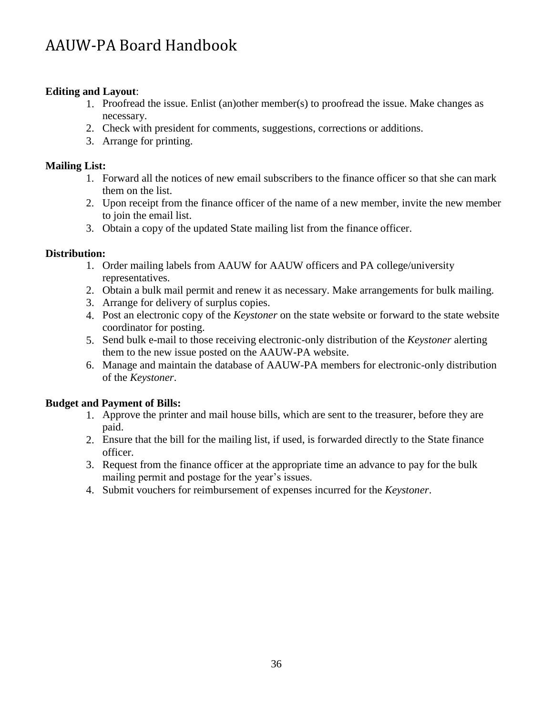# **Editing and Layout**:

- 1. Proofread the issue. Enlist (an)other member(s) to proofread the issue. Make changes as necessary.
- Check with president for comments, suggestions, corrections or additions. 2.
- Arrange for printing. 3.

# **Mailing List:**

- 1. Forward all the notices of new email subscribers to the finance officer so that she can mark them on the list.
- 2. Upon receipt from the finance officer of the name of a new member, invite the new member to join the email list.
- 3. Obtain a copy of the updated State mailing list from the finance officer.

# **Distribution:**

- 1. Order mailing labels from AAUW for AAUW officers and PA college/university representatives.
- Obtain a bulk mail permit and renew it as necessary. Make arrangements for bulk mailing. 2.
- Arrange for delivery of surplus copies. 3.
- Post an electronic copy of the *Keystoner* on the state website or forward to the state website 4. coordinator for posting.
- Send bulk e-mail to those receiving electronic-only distribution of the *Keystoner* alerting 5. them to the new issue posted on the AAUW-PA website.
- Manage and maintain the database of AAUW-PA members for electronic-only distribution 6. of the *Keystoner*.

# **Budget and Payment of Bills:**

- 1. Approve the printer and mail house bills, which are sent to the treasurer, before they are paid.
- Ensure that the bill for the mailing list, if used, is forwarded directly to the State finance 2. officer.
- Request from the finance officer at the appropriate time an advance to pay for the bulk 3. mailing permit and postage for the year's issues.
- Submit vouchers for reimbursement of expenses incurred for the *Keystoner*. 4.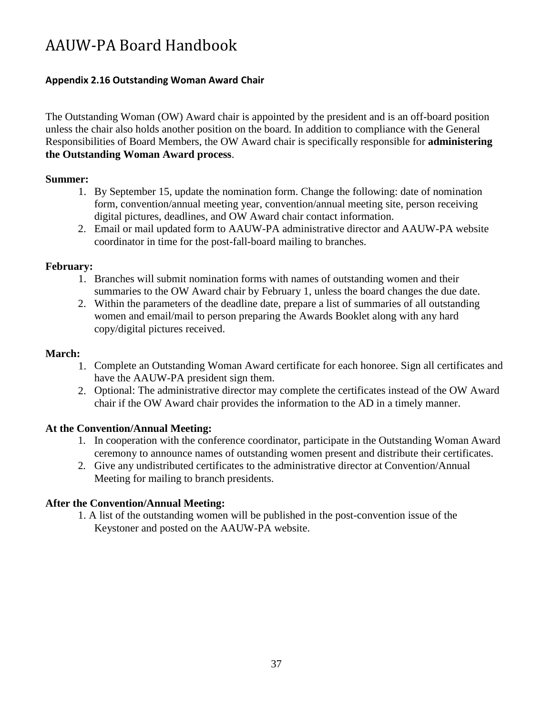# <span id="page-36-0"></span>**Appendix 2.16 Outstanding Woman Award Chair**

The Outstanding Woman (OW) Award chair is appointed by the president and is an off-board position unless the chair also holds another position on the board. In addition to compliance with the General Responsibilities of Board Members, the OW Award chair is specifically responsible for **administering the Outstanding Woman Award process**.

## **Summer:**

- 1. By September 15, update the nomination form. Change the following: date of nomination form, convention/annual meeting year, convention/annual meeting site, person receiving digital pictures, deadlines, and OW Award chair contact information.
- Email or mail updated form to AAUW-PA administrative director and AAUW-PA website 2. coordinator in time for the post-fall-board mailing to branches.

# **February:**

- 1. Branches will submit nomination forms with names of outstanding women and their summaries to the OW Award chair by February 1, unless the board changes the due date.
- Within the parameters of the deadline date, prepare a list of summaries of all outstanding 2. women and email/mail to person preparing the Awards Booklet along with any hard copy/digital pictures received.

## **March:**

- 1. Complete an Outstanding Woman Award certificate for each honoree. Sign all certificates and have the AAUW-PA president sign them.
- 2. Optional: The administrative director may complete the certificates instead of the OW Award chair if the OW Award chair provides the information to the AD in a timely manner.

# **At the Convention/Annual Meeting:**

- 1. In cooperation with the conference coordinator, participate in the Outstanding Woman Award ceremony to announce names of outstanding women present and distribute their certificates.
- 2. Give any undistributed certificates to the administrative director at Convention/Annual Meeting for mailing to branch presidents.

# **After the Convention/Annual Meeting:**

1. A list of the outstanding women will be published in the post-convention issue of the Keystoner and posted on the AAUW-PA website.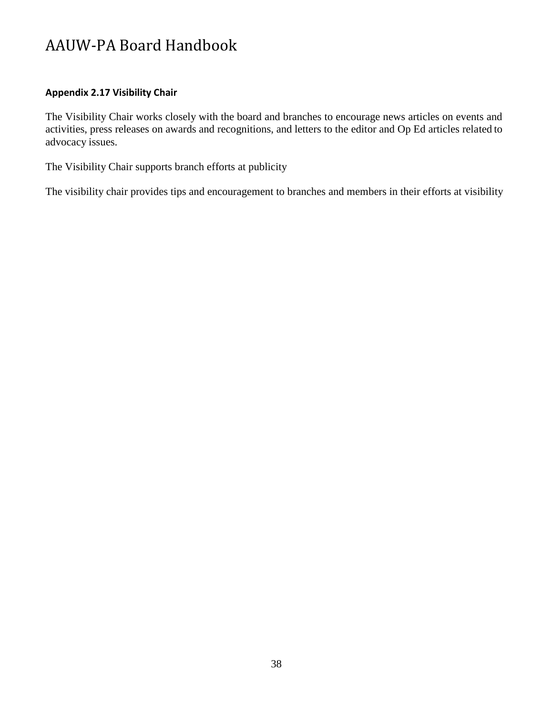# <span id="page-37-0"></span>**Appendix 2.17 Visibility Chair**

The Visibility Chair works closely with the board and branches to encourage news articles on events and activities, press releases on awards and recognitions, and letters to the editor and Op Ed articles related to advocacy issues.

The Visibility Chair supports branch efforts at publicity

The visibility chair provides tips and encouragement to branches and members in their efforts at visibility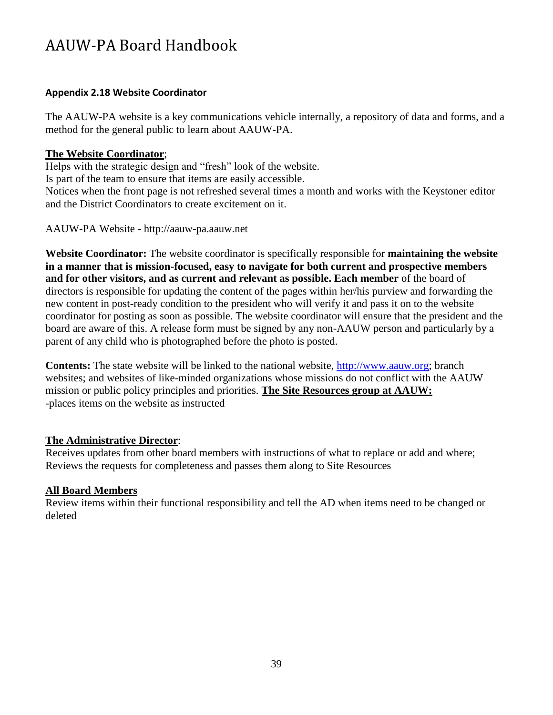## <span id="page-38-0"></span>**Appendix 2.18 Website Coordinator**

The AAUW-PA website is a key communications vehicle internally, a repository of data and forms, and a method for the general public to learn about AAUW-PA.

## **The Website Coordinator**;

Helps with the strategic design and "fresh" look of the website.

Is part of the team to ensure that items are easily accessible.

Notices when the front page is not refreshed several times a month and works with the Keystoner editor and the District Coordinators to create excitement on it.

AAUW-PA Website - [http://aauw-pa.aauw.net](http://aauw-pa.aauw.net/)

**Website Coordinator:** The website coordinator is specifically responsible for **maintaining the website in a manner that is mission-focused, easy to navigate for both current and prospective members and for other visitors, and as current and relevant as possible. Each member** of the board of directors is responsible for updating the content of the pages within her/his purview and forwarding the new content in post-ready condition to the president who will verify it and pass it on to the website coordinator for posting as soon as possible. The website coordinator will ensure that the president and the board are aware of this. A release form must be signed by any non-AAUW person and particularly by a parent of any child who is photographed before the photo is posted.

**Contents:** The state website will be linked to the national website, http://www.aauw.org; branch websites; and websites of like-minded organizations whose missions do not conflict with the AAUW mission or public policy principles and priorities. **The Site Resources group at AAUW:** -places items on the website as instructed

# **The Administrative Director**:

Receives updates from other board members with instructions of what to replace or add and where; Reviews the requests for completeness and passes them along to Site Resources

# **All Board Members**

Review items within their functional responsibility and tell the AD when items need to be changed or deleted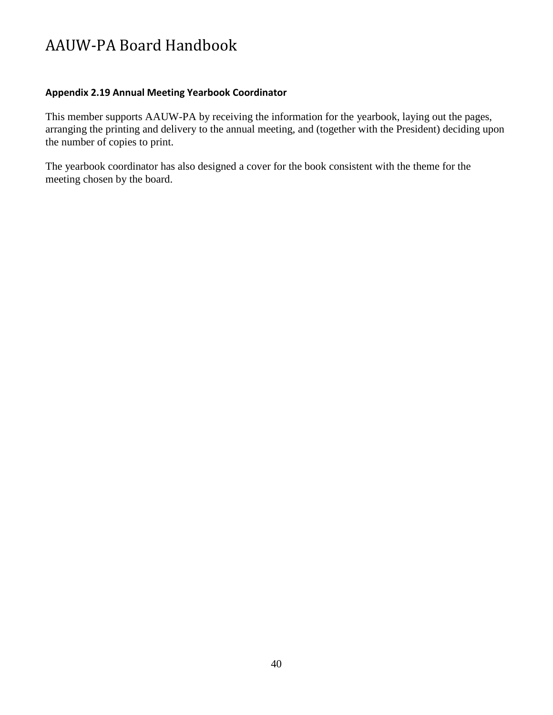## <span id="page-39-0"></span>**Appendix 2.19 Annual Meeting Yearbook Coordinator**

This member supports AAUW-PA by receiving the information for the yearbook, laying out the pages, arranging the printing and delivery to the annual meeting, and (together with the President) deciding upon the number of copies to print.

The yearbook coordinator has also designed a cover for the book consistent with the theme for the meeting chosen by the board.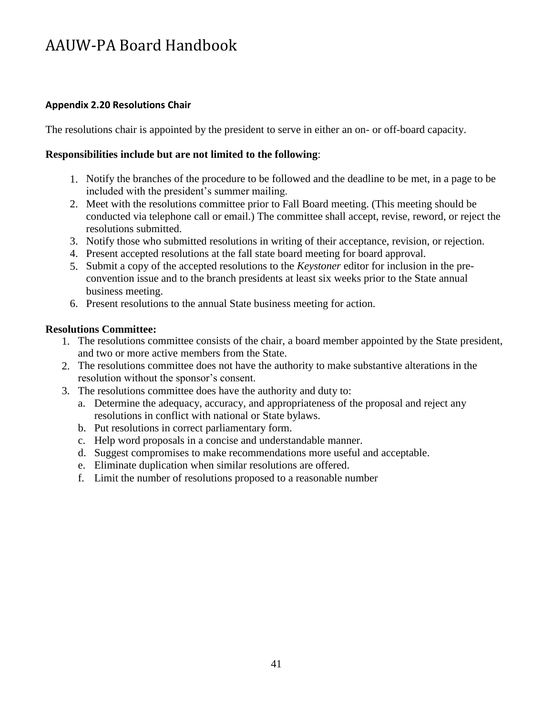# <span id="page-40-0"></span>**Appendix 2.20 Resolutions Chair**

The resolutions chair is appointed by the president to serve in either an on- or off-board capacity.

## **Responsibilities include but are not limited to the following**:

- 1. Notify the branches of the procedure to be followed and the deadline to be met, in a page to be included with the president's summer mailing.
- 2. Meet with the resolutions committee prior to Fall Board meeting. (This meeting should be conducted via telephone call or email.) The committee shall accept, revise, reword, or reject the resolutions submitted.
- 3. Notify those who submitted resolutions in writing of their acceptance, revision, or rejection.
- 4. Present accepted resolutions at the fall state board meeting for board approval.
- 5. Submit a copy of the accepted resolutions to the *Keystoner* editor for inclusion in the preconvention issue and to the branch presidents at least six weeks prior to the State annual business meeting.
- 6. Present resolutions to the annual State business meeting for action.

## **Resolutions Committee:**

- 1. The resolutions committee consists of the chair, a board member appointed by the State president, and two or more active members from the State.
- The resolutions committee does not have the authority to make substantive alterations in the 2. resolution without the sponsor's consent.
- The resolutions committee does have the authority and duty to: 3.
	- a. Determine the adequacy, accuracy, and appropriateness of the proposal and reject any resolutions in conflict with national or State bylaws.
	- b. Put resolutions in correct parliamentary form.
	- c. Help word proposals in a concise and understandable manner.
	- d. Suggest compromises to make recommendations more useful and acceptable.
	- e. Eliminate duplication when similar resolutions are offered.
	- Limit the number of resolutions proposed to a reasonable number f.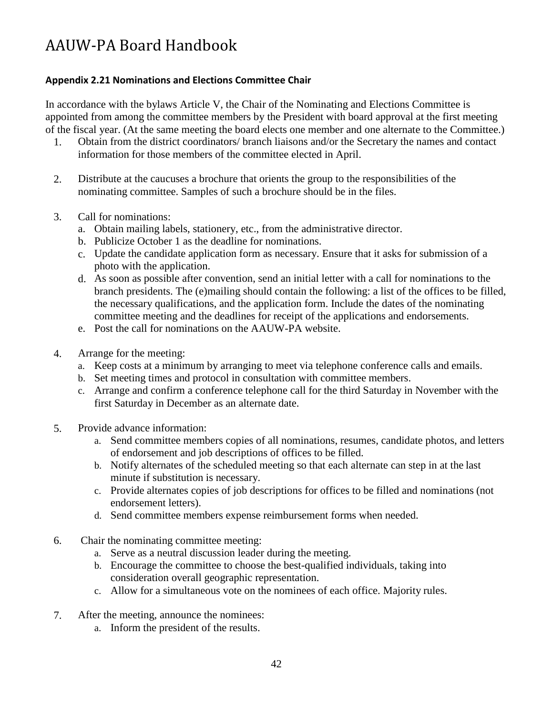# <span id="page-41-0"></span>**Appendix 2.21 Nominations and Elections Committee Chair**

In accordance with the bylaws Article V, the Chair of the Nominating and Elections Committee is appointed from among the committee members by the President with board approval at the first meeting of the fiscal year. (At the same meeting the board elects one member and one alternate to the Committee.)

- 1. Obtain from the district coordinators/ branch liaisons and/or the Secretary the names and contact information for those members of the committee elected in April.
- 2. Distribute at the caucuses a brochure that orients the group to the responsibilities of the nominating committee. Samples of such a brochure should be in the files.
- 3. Call for nominations:
	- a. Obtain mailing labels, stationery, etc., from the administrative director.
	- b. Publicize October 1 as the deadline for nominations.
	- c. Update the candidate application form as necessary. Ensure that it asks for submission of a photo with the application.
	- As soon as possible after convention, send an initial letter with a call for nominations to the d. branch presidents. The (e)mailing should contain the following: a list of the offices to be filled, the necessary qualifications, and the application form. Include the dates of the nominating committee meeting and the deadlines for receipt of the applications and endorsements.
	- e. Post the call for nominations on the AAUW-PA website.
- 4. Arrange for the meeting:
	- a. Keep costs at a minimum by arranging to meet via telephone conference calls and emails.
	- b. Set meeting times and protocol in consultation with committee members.
	- c. Arrange and confirm a conference telephone call for the third Saturday in November with the first Saturday in December as an alternate date.
- 5. Provide advance information:
	- a. Send committee members copies of all nominations, resumes, candidate photos, and letters of endorsement and job descriptions of offices to be filled.
	- b. Notify alternates of the scheduled meeting so that each alternate can step in at the last minute if substitution is necessary.
	- c. Provide alternates copies of job descriptions for offices to be filled and nominations (not endorsement letters).
	- d. Send committee members expense reimbursement forms when needed.
- 6. Chair the nominating committee meeting:
	- a. Serve as a neutral discussion leader during the meeting.
	- b. Encourage the committee to choose the best-qualified individuals, taking into consideration overall geographic representation.
	- c. Allow for a simultaneous vote on the nominees of each office. Majority rules.
- 7. After the meeting, announce the nominees:
	- a. Inform the president of the results.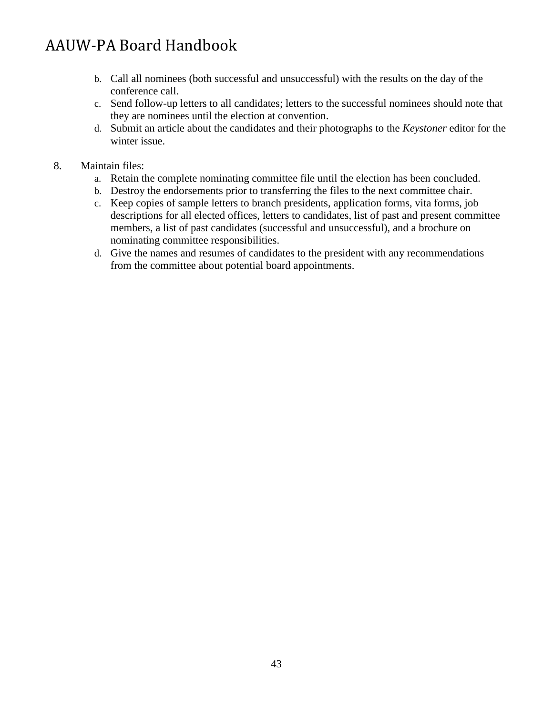- b. Call all nominees (both successful and unsuccessful) with the results on the day of the conference call.
- c. Send follow-up letters to all candidates; letters to the successful nominees should note that they are nominees until the election at convention.
- d. Submit an article about the candidates and their photographs to the *Keystoner* editor for the winter issue.
- 8. Maintain files:
	- Retain the complete nominating committee file until the election has been concluded. a.
	- b. Destroy the endorsements prior to transferring the files to the next committee chair.
	- c. Keep copies of sample letters to branch presidents, application forms, vita forms, job descriptions for all elected offices, letters to candidates, list of past and present committee members, a list of past candidates (successful and unsuccessful), and a brochure on nominating committee responsibilities.
	- d. Give the names and resumes of candidates to the president with any recommendations from the committee about potential board appointments.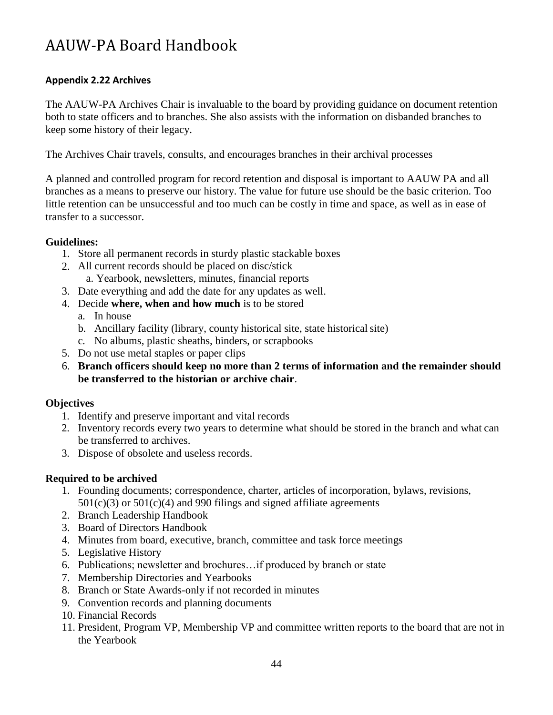# <span id="page-43-0"></span>**Appendix 2.22 Archives**

The AAUW-PA Archives Chair is invaluable to the board by providing guidance on document retention both to state officers and to branches. She also assists with the information on disbanded branches to keep some history of their legacy.

The Archives Chair travels, consults, and encourages branches in their archival processes

A planned and controlled program for record retention and disposal is important to AAUW PA and all branches as a means to preserve our history. The value for future use should be the basic criterion. Too little retention can be unsuccessful and too much can be costly in time and space, as well as in ease of transfer to a successor.

# **Guidelines:**

- 1. Store all permanent records in sturdy plastic stackable boxes
- 2. All current records should be placed on disc/stick a. Yearbook, newsletters, minutes, financial reports
- Date everything and add the date for any updates as well. 3.
- Decide **where, when and how much** is to be stored 4.
	- a. In house
	- b. Ancillary facility (library, county historical site, state historical site)
	- c. No albums, plastic sheaths, binders, or scrapbooks
- 5. Do not use metal staples or paper clips
- **Branch officers should keep no more than 2 terms of information and the remainder should**  6. **be transferred to the historian or archive chair**.

#### **Objectives**

- 1. Identify and preserve important and vital records
- 2. Inventory records every two years to determine what should be stored in the branch and what can be transferred to archives.
- 3. Dispose of obsolete and useless records.

# **Required to be archived**

- 1. Founding documents; correspondence, charter, articles of incorporation, bylaws, revisions,  $501(c)(3)$  or  $501(c)(4)$  and 990 filings and signed affiliate agreements
- 2. Branch Leadership Handbook
- 3. Board of Directors Handbook
- Minutes from board, executive, branch, committee and task force meetings 4.
- 5. Legislative History
- 6. Publications; newsletter and brochures... if produced by branch or state
- 7. Membership Directories and Yearbooks
- 8. Branch or State Awards-only if not recorded in minutes
- 9. Convention records and planning documents
- 10. Financial Records
- 11. President, Program VP, Membership VP and committee written reports to the board that are not in the Yearbook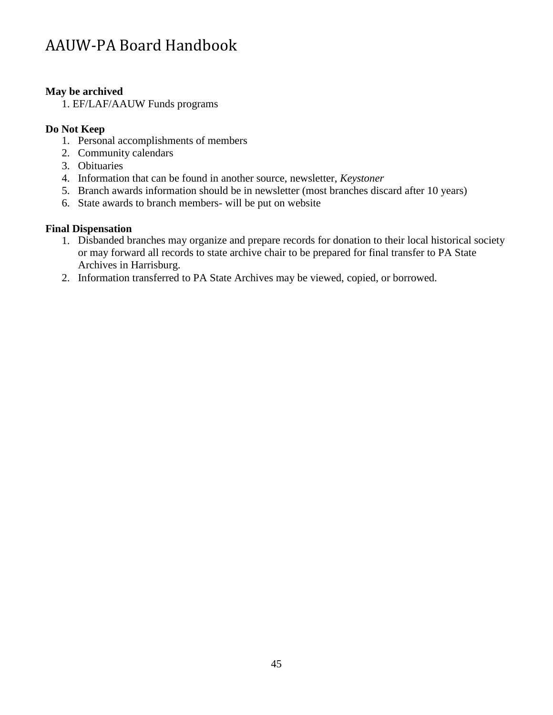# **May be archived**

1. EF/LAF/AAUW Funds programs

# **Do Not Keep**

- 1. Personal accomplishments of members
- 2. Community calendars
- 3. Obituaries
- 4. Information that can be found in another source, newsletter, *Keystoner*
- 5. Branch awards information should be in newsletter (most branches discard after 10 years)
- 6. State awards to branch members- will be put on website

# **Final Dispensation**

- 1. Disbanded branches may organize and prepare records for donation to their local historical society or may forward all records to state archive chair to be prepared for final transfer to PA State Archives in Harrisburg.
- 2. Information transferred to PA State Archives may be viewed, copied, or borrowed.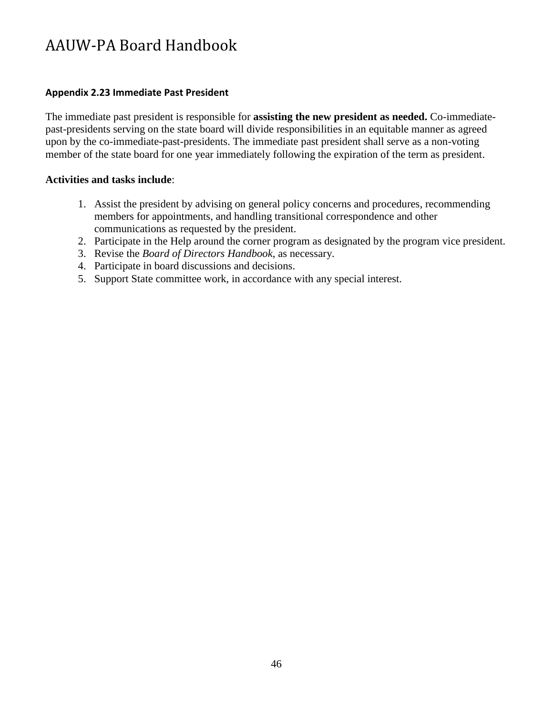## <span id="page-45-0"></span>**Appendix 2.23 Immediate Past President**

The immediate past president is responsible for **assisting the new president as needed.** Co-immediatepast-presidents serving on the state board will divide responsibilities in an equitable manner as agreed upon by the co-immediate-past-presidents. The immediate past president shall serve as a non-voting member of the state board for one year immediately following the expiration of the term as president.

## **Activities and tasks include**:

- 1. Assist the president by advising on general policy concerns and procedures, recommending members for appointments, and handling transitional correspondence and other communications as requested by the president.
- 2. Participate in the Help around the corner program as designated by the program vice president.
- 3. Revise the *Board of Directors Handbook*, as necessary.
- 4. Participate in board discussions and decisions.
- 5. Support State committee work, in accordance with any special interest.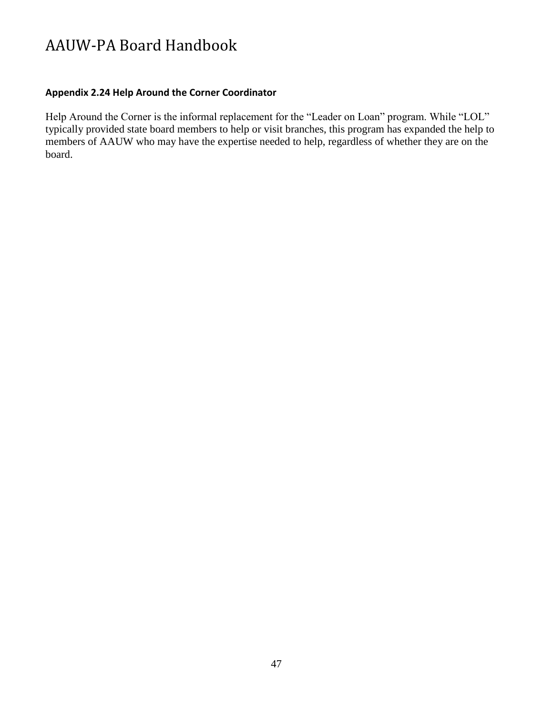## <span id="page-46-0"></span>**Appendix 2.24 Help Around the Corner Coordinator**

Help Around the Corner is the informal replacement for the "Leader on Loan" program. While "LOL" typically provided state board members to help or visit branches, this program has expanded the help to members of AAUW who may have the expertise needed to help, regardless of whether they are on the board.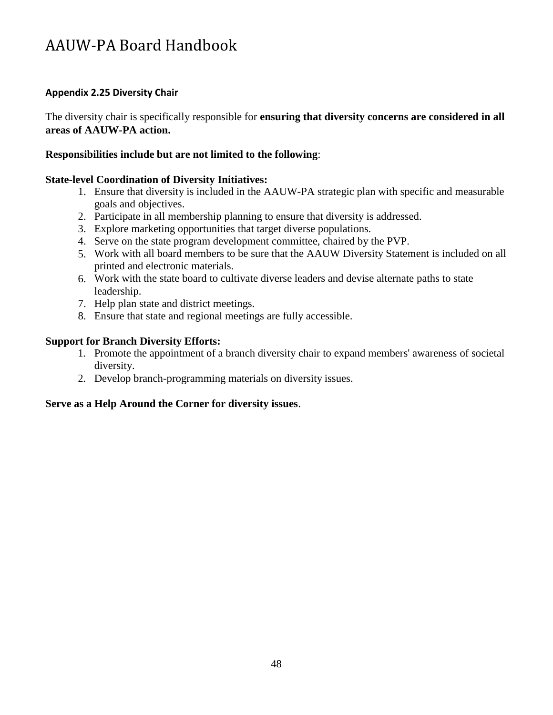## <span id="page-47-0"></span>**Appendix 2.25 Diversity Chair**

The diversity chair is specifically responsible for **ensuring that diversity concerns are considered in all areas of AAUW-PA action.**

## **Responsibilities include but are not limited to the following**:

## **State-level Coordination of Diversity Initiatives:**

- 1. Ensure that diversity is included in the AAUW-PA strategic plan with specific and measurable goals and objectives.
- Participate in all membership planning to ensure that diversity is addressed. 2.
- Explore marketing opportunities that target diverse populations. 3.
- 4. Serve on the state program development committee, chaired by the PVP.
- Work with all board members to be sure that the AAUW Diversity Statement is included on all 5. printed and electronic materials.
- Work with the state board to cultivate diverse leaders and devise alternate paths to state 6. leadership.
- 7. Help plan state and district meetings.
- Ensure that state and regional meetings are fully accessible. 8.

## **Support for Branch Diversity Efforts:**

- 1. Promote the appointment of a branch diversity chair to expand members' awareness of societal diversity.
- 2. Develop branch-programming materials on diversity issues.

#### **Serve as a Help Around the Corner for diversity issues**.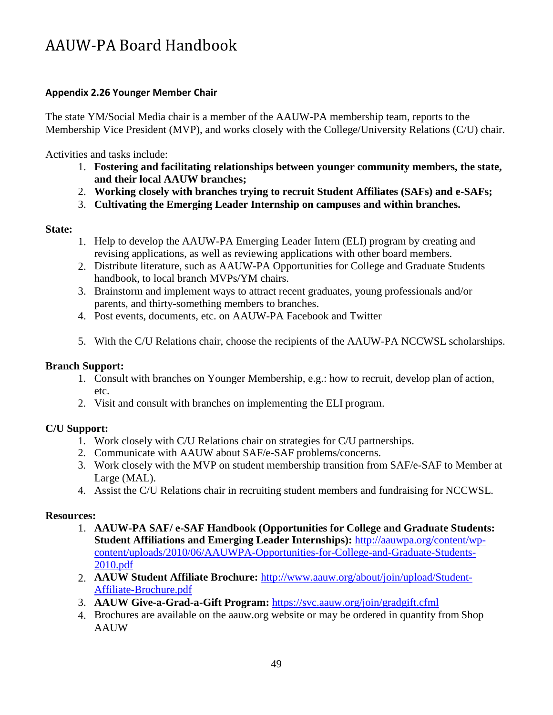# <span id="page-48-0"></span>**Appendix 2.26 Younger Member Chair**

The state YM/Social Media chair is a member of the AAUW-PA membership team, reports to the Membership Vice President (MVP), and works closely with the College/University Relations (C/U) chair.

Activities and tasks include:

- 1. **Fostering and facilitating relationships between younger community members, the state, and their local AAUW branches;**
- **Working closely with branches trying to recruit Student Affiliates (SAFs) and e-SAFs;**  2.
- **Cultivating the Emerging Leader Internship on campuses and within branches.** 3.

# **State:**

- 1. Help to develop the AAUW-PA Emerging Leader Intern (ELI) program by creating and revising applications, as well as reviewing applications with other board members.
- Distribute literature, such as AAUW-PA Opportunities for College and Graduate Students 2. handbook, to local branch MVPs/YM chairs.
- Brainstorm and implement ways to attract recent graduates, young professionals and/or 3. parents, and thirty-something members to branches.
- Post events, documents, etc. on AAUW-PA Facebook and Twitter 4.
- 5. With the C/U Relations chair, choose the recipients of the AAUW-PA NCCWSL scholarships.

# **Branch Support:**

- 1. Consult with branches on Younger Membership, e.g.: how to recruit, develop plan of action, etc.
- 2. Visit and consult with branches on implementing the ELI program.

# **C/U Support:**

- 1. Work closely with C/U Relations chair on strategies for C/U partnerships.
- 2. Communicate with AAUW about SAF/e-SAF problems/concerns.
- 3. Work closely with the MVP on student membership transition from SAF/e-SAF to Member at Large (MAL).
- 4. Assist the C/U Relations chair in recruiting student members and fundraising for NCCWSL.

# **Resources:**

- 1. **AAUW-PA SAF/ e-SAF Handbook (Opportunities for College and Graduate Students: Student Affiliations and Emerging Leader Internships):** [http://aauwpa.org/content/wp](http://aauwpa.org/content/wp-)content/uploads/2010/06/AAUWPA-Opportunities-for-College-and-Graduate-Students-2010.pdf
- **AAUW Student Affiliate Brochure:** <http://www.aauw.org/about/join/upload/Student->2. Affiliate-Brochure.pdf
- **AAUW Give-a-Grad-a-Gift Program:** <https://svc.aauw.org/join/gradgift.cfml> 3.
- Brochures are available on the aauw.org website or may be ordered in quantity from Shop 4. AAUW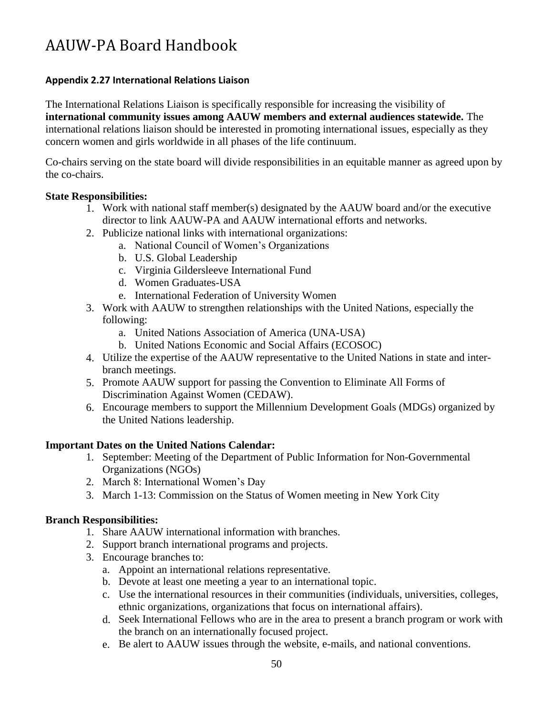# <span id="page-49-0"></span>**Appendix 2.27 International Relations Liaison**

The International Relations Liaison is specifically responsible for increasing the visibility of **international community issues among AAUW members and external audiences statewide.** The international relations liaison should be interested in promoting international issues, especially as they concern women and girls worldwide in all phases of the life continuum.

Co-chairs serving on the state board will divide responsibilities in an equitable manner as agreed upon by the co-chairs.

# **State Responsibilities:**

- 1. Work with national staff member(s) designated by the AAUW board and/or the executive director to link AAUW-PA and AAUW international efforts and networks.
- 2. Publicize national links with international organizations:
	- a. National Council of Women's Organizations
	- b. U.S. Global Leadership
	- c. Virginia Gildersleeve International Fund
	- d. Women Graduates-USA
	- e. International Federation of University Women
- 3. Work with AAUW to strengthen relationships with the United Nations, especially the following:
	- a. United Nations Association of America (UNA-USA)
	- b. United Nations Economic and Social Affairs (ECOSOC)
- Utilize the expertise of the AAUW representative to the United Nations in state and inter-4. branch meetings.
- 5. Promote AAUW support for passing the Convention to Eliminate All Forms of Discrimination Against Women (CEDAW).
- Encourage members to support the Millennium Development Goals (MDGs) organized by 6. the United Nations leadership.

#### **Important Dates on the United Nations Calendar:**

- 1. September: Meeting of the Department of Public Information for Non-Governmental Organizations (NGOs)
- 2. March 8: International Women's Day
- 3. March 1-13: Commission on the Status of Women meeting in New York City

#### **Branch Responsibilities:**

- 1. Share AAUW international information with branches.
- 2. Support branch international programs and projects.
- 3. Encourage branches to:
	- a. Appoint an international relations representative.
	- b. Devote at least one meeting a year to an international topic.
	- c. Use the international resources in their communities (individuals, universities, colleges, ethnic organizations, organizations that focus on international affairs).
	- d. Seek International Fellows who are in the area to present a branch program or work with the branch on an internationally focused project.
	- Be alert to AAUW issues through the website, e-mails, and national conventions. e.